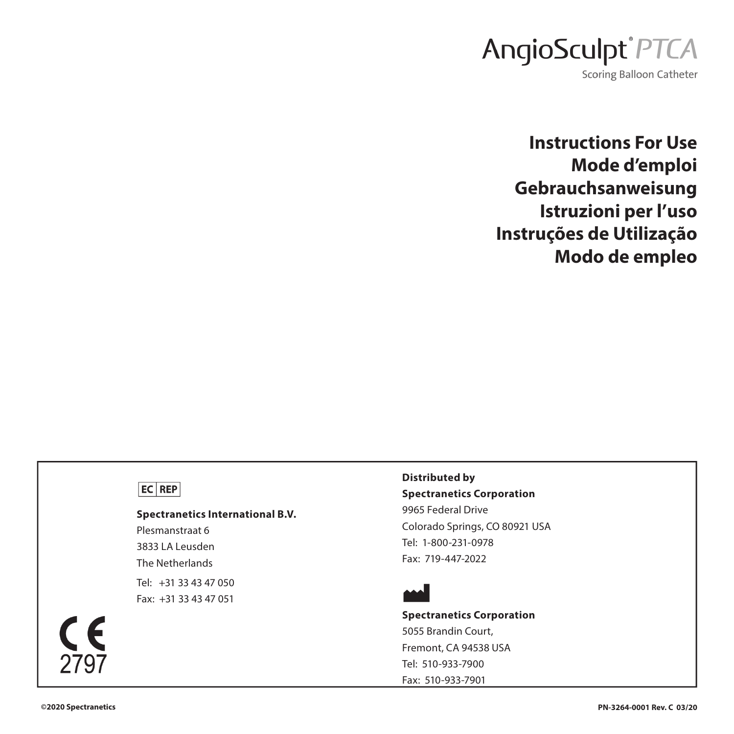# AngioSculpt<sup>\*</sup>PTCA

Scoring Balloon Catheter

## **Instructions For Use Mode d'emploi Gebrauchsanweisung Istruzioni per l'uso Instruções de Utilização Modo de empleo**

#### **EC** REP

**Spectranetics International B.V.** Plesmanstraat 6 3833 LA Leusden The Netherlands Tel: +31 33 43 47 050 Fax: +31 33 43 47 051

 $\epsilon$ 

### **Distributed by Spectranetics Corporation** 9965 Federal Drive Colorado Springs, CO 80921 USA Tel: 1-800-231-0978

Fax: 719-447-2022

**Spectranetics Corporation** 5055 Brandin Court, Fremont, CA 94538 USA Tel: 510-933-7900 Fax: 510-933-7901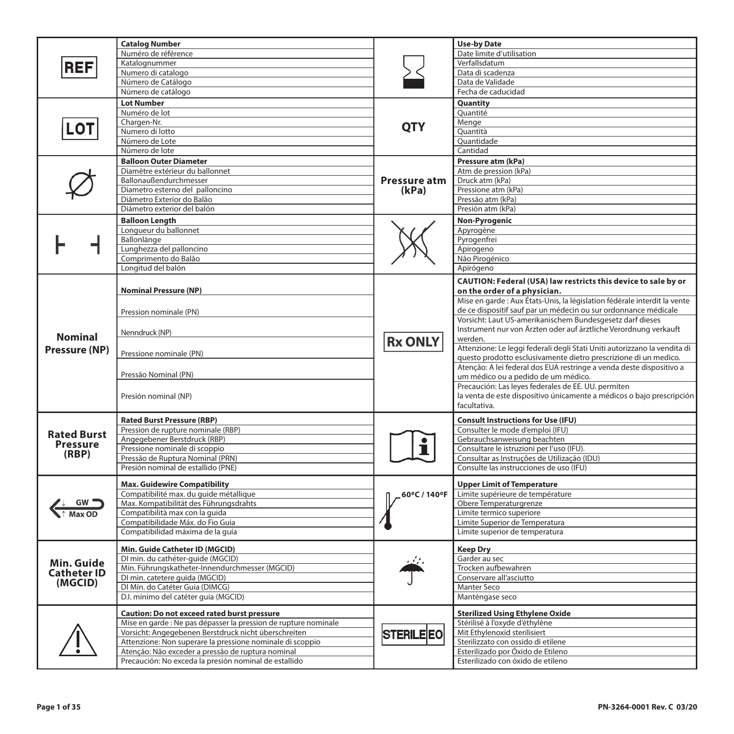| <b>REF</b>                                     | <b>Catalog Number</b><br>Numéro de référence<br>Katalognummer<br>Numero di catalogo<br>Número de Catálogo<br>Número de catálogo                                                                                                                                                                                                                          |                       | <b>Use-by Date</b><br>Date limite d'utilisation<br>Verfallsdatum<br>Data di scadenza<br>Data de Validade<br>Fecha de caducidad                                                                                                                                                                                                                                                                                                                                                                                                                                                                                                                                                                                                                                                                             |
|------------------------------------------------|----------------------------------------------------------------------------------------------------------------------------------------------------------------------------------------------------------------------------------------------------------------------------------------------------------------------------------------------------------|-----------------------|------------------------------------------------------------------------------------------------------------------------------------------------------------------------------------------------------------------------------------------------------------------------------------------------------------------------------------------------------------------------------------------------------------------------------------------------------------------------------------------------------------------------------------------------------------------------------------------------------------------------------------------------------------------------------------------------------------------------------------------------------------------------------------------------------------|
| <b>LOT</b>                                     | <b>Lot Number</b><br>Numéro de lot<br>Chargen-Nr.<br>Numero di lotto<br>Número de Lote<br>Número de lote                                                                                                                                                                                                                                                 | <b>QTY</b>            | Quantity<br>Quantité<br>Menge<br>Quantità<br>Quantidade<br>Cantidad                                                                                                                                                                                                                                                                                                                                                                                                                                                                                                                                                                                                                                                                                                                                        |
|                                                | <b>Balloon Outer Diameter</b><br>Diamètre extérieur du ballonnet<br>Ballonaußendurchmesser<br>Diametro esterno del palloncino<br>Diâmetro Exterior do Balão<br>Diámetro exterior del balón                                                                                                                                                               | Pressure atm<br>(kPa) | Pressure atm (kPa)<br>Atm de pression (kPa)<br>Druck atm (kPa)<br>Pressione atm (kPa)<br>Pressão atm (kPa)<br>Presión atm (kPa)                                                                                                                                                                                                                                                                                                                                                                                                                                                                                                                                                                                                                                                                            |
|                                                | <b>Balloon Length</b><br>Longueur du ballonnet<br>Ballonlänge<br>Lunghezza del palloncino<br>Comprimento do Balão<br>Longitud del balón                                                                                                                                                                                                                  |                       | Non-Pyrogenic<br>Apyrogène<br>Pyrogenfrei<br>Apirogeno<br>Não Pirogénico<br>Apirógeno                                                                                                                                                                                                                                                                                                                                                                                                                                                                                                                                                                                                                                                                                                                      |
| <b>Nominal</b><br>Pressure (NP)                | <b>Nominal Pressure (NP)</b><br>Pression nominale (PN)<br>Nenndruck (NP)<br>Pressione nominale (PN)<br>Pressão Nominal (PN)<br>Presión nominal (NP)                                                                                                                                                                                                      | <b>Rx ONLY</b>        | CAUTION: Federal (USA) law restricts this device to sale by or<br>on the order of a physician.<br>Mise en garde : Aux États-Unis, la législation fédérale interdit la vente<br>de ce dispositif sauf par un médecin ou sur ordonnance médicale<br>Vorsicht: Laut US-amerikanischem Bundesgesetz darf dieses<br>Instrument nur von Ärzten oder auf ärztliche Verordnung verkauft<br>werden.<br>Attenzione: Le leggi federali degli Stati Uniti autorizzano la vendita di<br>questo prodotto esclusivamente dietro prescrizione di un medico.<br>Atenção: A lei federal dos EUA restringe a venda deste dispositivo a<br>um médico ou a pedido de um médico.<br>Precaución: Las leyes federales de EE. UU. permiten<br>la venta de este dispositivo únicamente a médicos o bajo prescripción<br>facultativa. |
| <b>Rated Burst</b><br><b>Pressure</b><br>(RBP) | <b>Rated Burst Pressure (RBP)</b><br>Pression de rupture nominale (RBP)<br>Angegebener Berstdruck (RBP)<br>Pressione nominale di scoppio<br>Pressão de Ruptura Nominal (PRN)<br>Presión nominal de estallido (PNE)                                                                                                                                       |                       | <b>Consult Instructions for Use (IFU)</b><br>Consulter le mode d'emploi (IFU)<br>Gebrauchsanweisung beachten<br>Consultare le istruzioni per l'uso (IFU).<br>Consultar as Instruções de Utilização (IDU)<br>Consulte las instrucciones de uso (IFU)                                                                                                                                                                                                                                                                                                                                                                                                                                                                                                                                                        |
| $GW =$                                         | <b>Max. Guidewire Compatibility</b><br>Compatibilité max. du quide métallique<br>Max. Kompatibilität des Führungsdrahts<br>Compatibilità max con la quida<br>Compatibilidade Máx. do Fio Guia<br>Compatibilidad máxima de la quía                                                                                                                        | 60°C / 140°F          | <b>Upper Limit of Temperature</b><br>Limite supérieure de température<br>Obere Temperaturgrenze<br>Limite termico superiore<br>Limite Superior de Temperatura<br>Límite superior de temperatura                                                                                                                                                                                                                                                                                                                                                                                                                                                                                                                                                                                                            |
| Min. Guide<br><b>Catheter ID</b><br>(MGCID)    | Min. Guide Catheter ID (MGCID)<br>DI min. du cathéter-quide (MGCID)<br>Min. Führungskatheter-Innendurchmesser (MGCID)<br>DI min. catetere guida (MGCID)<br>DI Mín. do Catéter Guia (DIMCG)<br>D.I. mínimo del catéter quía (MGCID)                                                                                                                       |                       | <b>Keep Dry</b><br>Garder au sec<br>Trocken aufbewahren<br>Conservare all'asciutto<br>Manter Seco<br>Manténgase seco                                                                                                                                                                                                                                                                                                                                                                                                                                                                                                                                                                                                                                                                                       |
|                                                | <b>Caution: Do not exceed rated burst pressure</b><br>Mise en garde : Ne pas dépasser la pression de rupture nominale<br>Vorsicht: Angegebenen Berstdruck nicht überschreiten<br>Attenzione: Non superare la pressione nominale di scoppio<br>Atenção: Não exceder a pressão de ruptura nominal<br>Precaución: No exceda la presión nominal de estallido | <b>STERILE EO</b>     | <b>Sterilized Using Ethylene Oxide</b><br>Stérilisé à l'oxyde d'éthylène<br>Mit Ethylenoxid sterilisiert<br>Sterilizzato con ossido di etilene<br>Esterilizado por Óxido de Etileno<br>Esterilizado con óxido de etileno                                                                                                                                                                                                                                                                                                                                                                                                                                                                                                                                                                                   |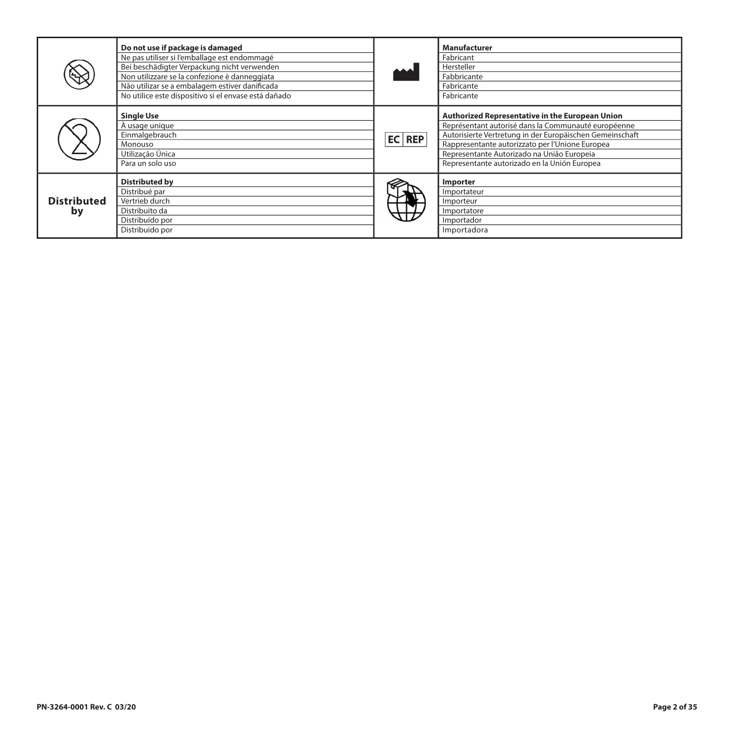|                          | Do not use if package is damaged<br>Ne pas utiliser si l'emballage est endommagé<br>Bei beschädigter Verpackung nicht verwenden<br>Non utilizzare se la confezione è danneggiata<br>Não utilizar se a embalagem estiver danificada<br>No utilice este dispositivo si el envase está dañado |        | Manufacturer<br>Fabricant<br>Hersteller<br>Fabbricante<br>Fabricante<br>Fabricante                                                                                                                                                                                                                                  |
|--------------------------|--------------------------------------------------------------------------------------------------------------------------------------------------------------------------------------------------------------------------------------------------------------------------------------------|--------|---------------------------------------------------------------------------------------------------------------------------------------------------------------------------------------------------------------------------------------------------------------------------------------------------------------------|
|                          | <b>Single Use</b><br>A usage unique<br>Einmalgebrauch<br>Monouso<br>Utilização Única<br>Para un solo uso                                                                                                                                                                                   | EC REP | Authorized Representative in the European Union<br>Représentant autorisé dans la Communauté européenne<br>Autorisierte Vertretung in der Europäischen Gemeinschaft<br>Rappresentante autorizzato per l'Unione Europea<br>Representante Autorizado na União Europeia<br>Representante autorizado en la Unión Europea |
| <b>Distributed</b><br>by | <b>Distributed by</b><br>Distribué par<br>Vertrieb durch<br>Distribuito da<br>Distribuído por<br>Distribuido por                                                                                                                                                                           |        | Importer<br>Importateur<br>Importeur<br>Importatore<br>Importador<br>Importadora                                                                                                                                                                                                                                    |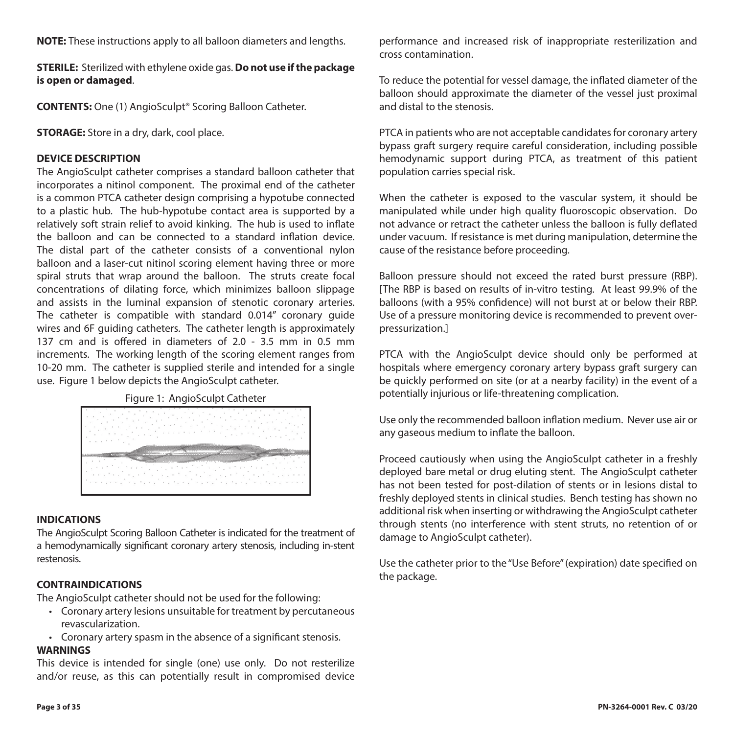**NOTE:** These instructions apply to all balloon diameters and lengths.

**STERILE:** Sterilized with ethylene oxide gas. **Do not use if the package is open or damaged**.

**CONTENTS:** One (1) AngioSculpt® Scoring Balloon Catheter.

**STORAGE:** Store in a dry, dark, cool place.

#### **DEVICE DESCRIPTION**

The AngioSculpt catheter comprises a standard balloon catheter that incorporates a nitinol component. The proximal end of the catheter is a common PTCA catheter design comprising a hypotube connected to a plastic hub. The hub-hypotube contact area is supported by a relatively soft strain relief to avoid kinking. The hub is used to inflate the balloon and can be connected to a standard inflation device. The distal part of the catheter consists of a conventional nylon balloon and a laser-cut nitinol scoring element having three or more spiral struts that wrap around the balloon. The struts create focal concentrations of dilating force, which minimizes balloon slippage and assists in the luminal expansion of stenotic coronary arteries. The catheter is compatible with standard 0.014" coronary guide wires and 6F guiding catheters. The catheter length is approximately 137 cm and is offered in diameters of 2.0 - 3.5 mm in 0.5 mm increments. The working length of the scoring element ranges from 10-20 mm. The catheter is supplied sterile and intended for a single use. Figure 1 below depicts the AngioSculpt catheter.

Figure 1: AngioSculpt Catheter



#### **INDICATIONS**

The AngioSculpt Scoring Balloon Catheter is indicated for the treatment of a hemodynamically significant coronary artery stenosis, including in-stent restenosis.

#### **CONTRAINDICATIONS**

The AngioSculpt catheter should not be used for the following:

- Coronary artery lesions unsuitable for treatment by percutaneous revascularization.
- Coronary artery spasm in the absence of a significant stenosis.

#### **WARNINGS**

This device is intended for single (one) use only. Do not resterilize and/or reuse, as this can potentially result in compromised device performance and increased risk of inappropriate resterilization and cross contamination.

To reduce the potential for vessel damage, the inflated diameter of the balloon should approximate the diameter of the vessel just proximal and distal to the stenosis.

PTCA in patients who are not acceptable candidates for coronary artery bypass graft surgery require careful consideration, including possible hemodynamic support during PTCA, as treatment of this patient population carries special risk.

When the catheter is exposed to the vascular system, it should be manipulated while under high quality fluoroscopic observation. Do not advance or retract the catheter unless the balloon is fully deflated under vacuum. If resistance is met during manipulation, determine the cause of the resistance before proceeding.

Balloon pressure should not exceed the rated burst pressure (RBP). [The RBP is based on results of in-vitro testing. At least 99.9% of the balloons (with a 95% confidence) will not burst at or below their RBP. Use of a pressure monitoring device is recommended to prevent overpressurization.]

PTCA with the AngioSculpt device should only be performed at hospitals where emergency coronary artery bypass graft surgery can be quickly performed on site (or at a nearby facility) in the event of a potentially injurious or life-threatening complication.

Use only the recommended balloon inflation medium. Never use air or any gaseous medium to inflate the balloon.

Proceed cautiously when using the AngioSculpt catheter in a freshly deployed bare metal or drug eluting stent. The AngioSculpt catheter has not been tested for post-dilation of stents or in lesions distal to freshly deployed stents in clinical studies. Bench testing has shown no additional risk when inserting or withdrawing the AngioSculpt catheter through stents (no interference with stent struts, no retention of or damage to AngioSculpt catheter).

Use the catheter prior to the "Use Before" (expiration) date specified on the package.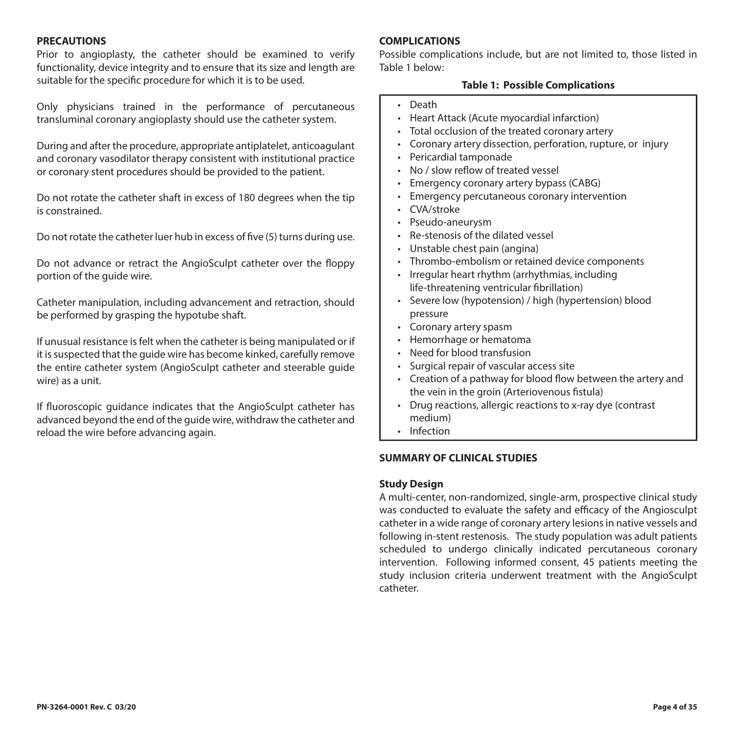#### **PRECAUTIONS**

Prior to angioplasty, the catheter should be examined to verify functionality, device integrity and to ensure that its size and length are suitable for the specific procedure for which it is to be used.

Only physicians trained in the performance of percutaneous transluminal coronary angioplasty should use the catheter system.

During and after the procedure, appropriate antiplatelet, anticoagulant and coronary vasodilator therapy consistent with institutional practice or coronary stent procedures should be provided to the patient.

Do not rotate the catheter shaft in excess of 180 degrees when the tip is constrained.

Do not rotate the catheter luer hub in excess of five (5) turns during use.

Do not advance or retract the AngioSculpt catheter over the floppy portion of the guide wire.

Catheter manipulation, including advancement and retraction, should be performed by grasping the hypotube shaft.

If unusual resistance is felt when the catheter is being manipulated or if it is suspected that the guide wire has become kinked, carefully remove the entire catheter system (AngioSculpt catheter and steerable guide wire) as a unit.

If fluoroscopic guidance indicates that the AngioSculpt catheter has advanced beyond the end of the guide wire, withdraw the catheter and reload the wire before advancing again.

#### **COMPLICATIONS**

Possible complications include, but are not limited to, those listed in Table 1 below:

#### **Table 1: Possible Complications**

- Death
- Heart Attack (Acute myocardial infarction)
- Total occlusion of the treated coronary artery
- Coronary artery dissection, perforation, rupture, or injury
- Pericardial tamponade
- No / slow reflow of treated vessel
- Emergency coronary artery bypass (CABG)
- Emergency percutaneous coronary intervention
- CVA/stroke
- Pseudo-aneurysm
- Re-stenosis of the dilated vessel
- Unstable chest pain (angina)
- Thrombo-embolism or retained device components
- Irregular heart rhythm (arrhythmias, including life-threatening ventricular fibrillation)
- Severe low (hypotension) / high (hypertension) blood pressure
- Coronary artery spasm
- Hemorrhage or hematoma
- Need for blood transfusion
- Surgical repair of vascular access site
- Creation of a pathway for blood flow between the artery and the vein in the groin (Arteriovenous fistula)
- Drug reactions, allergic reactions to x-ray dye (contrast medium)
- Infection

#### **SUMMARY OF CLINICAL STUDIES**

#### **Study Design**

A multi-center, non-randomized, single-arm, prospective clinical study was conducted to evaluate the safety and efficacy of the Angiosculpt catheter in a wide range of coronary artery lesions in native vessels and following in-stent restenosis. The study population was adult patients scheduled to undergo clinically indicated percutaneous coronary intervention. Following informed consent, 45 patients meeting the study inclusion criteria underwent treatment with the AngioSculpt catheter.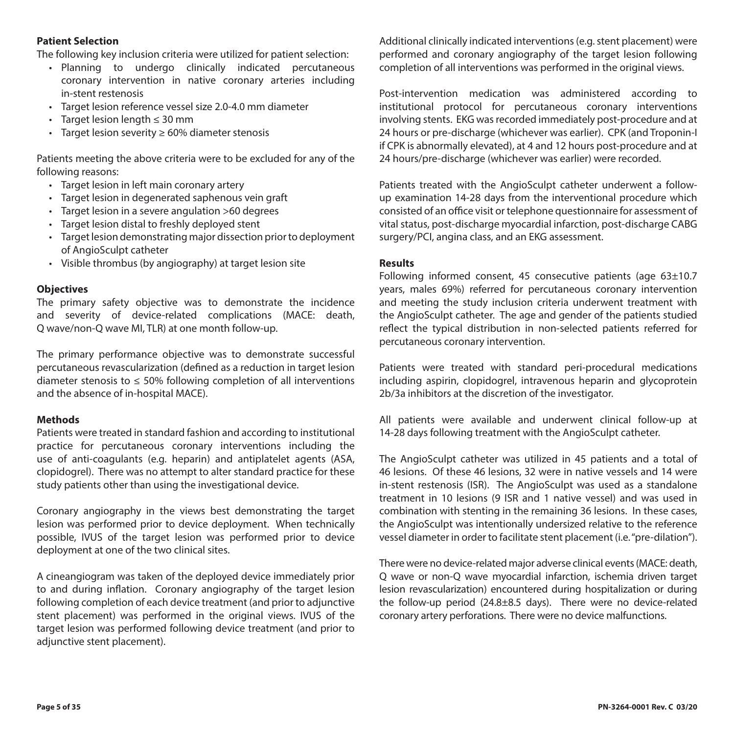#### **Patient Selection**

The following key inclusion criteria were utilized for patient selection:

- Planning to undergo clinically indicated percutaneous coronary intervention in native coronary arteries including in-stent restenosis
- Target lesion reference vessel size 2.0-4.0 mm diameter
- Target lesion length ≤ 30 mm
- Target lesion severity ≥ 60% diameter stenosis

Patients meeting the above criteria were to be excluded for any of the following reasons:

- Target lesion in left main coronary artery
- Target lesion in degenerated saphenous vein graft
- Target lesion in a severe angulation >60 degrees
- Target lesion distal to freshly deployed stent
- Target lesion demonstrating major dissection prior to deployment of AngioSculpt catheter
- Visible thrombus (by angiography) at target lesion site

#### **Objectives**

The primary safety objective was to demonstrate the incidence and severity of device-related complications (MACE: death, Q wave/non-Q wave MI, TLR) at one month follow-up.

The primary performance objective was to demonstrate successful percutaneous revascularization (defined as a reduction in target lesion diameter stenosis to ≤ 50% following completion of all interventions and the absence of in-hospital MACE).

#### **Methods**

Patients were treated in standard fashion and according to institutional practice for percutaneous coronary interventions including the use of anti-coagulants (e.g. heparin) and antiplatelet agents (ASA, clopidogrel). There was no attempt to alter standard practice for these study patients other than using the investigational device.

Coronary angiography in the views best demonstrating the target lesion was performed prior to device deployment. When technically possible, IVUS of the target lesion was performed prior to device deployment at one of the two clinical sites.

A cineangiogram was taken of the deployed device immediately prior to and during inflation. Coronary angiography of the target lesion following completion of each device treatment (and prior to adjunctive stent placement) was performed in the original views. IVUS of the target lesion was performed following device treatment (and prior to adiunctive stent placement).

Additional clinically indicated interventions (e.g. stent placement) were performed and coronary angiography of the target lesion following completion of all interventions was performed in the original views.

Post-intervention medication was administered according to institutional protocol for percutaneous coronary interventions involving stents. EKG was recorded immediately post-procedure and at 24 hours or pre-discharge (whichever was earlier). CPK (and Troponin-I if CPK is abnormally elevated), at 4 and 12 hours post-procedure and at 24 hours/pre-discharge (whichever was earlier) were recorded.

Patients treated with the AngioSculpt catheter underwent a followup examination 14-28 days from the interventional procedure which consisted of an office visit or telephone questionnaire for assessment of vital status, post-discharge myocardial infarction, post-discharge CABG surgery/PCI, angina class, and an EKG assessment.

#### **Results**

Following informed consent, 45 consecutive patients (age  $63\pm10.7$ years, males 69%) referred for percutaneous coronary intervention and meeting the study inclusion criteria underwent treatment with the AngioSculpt catheter. The age and gender of the patients studied reflect the typical distribution in non-selected patients referred for percutaneous coronary intervention.

Patients were treated with standard peri-procedural medications including aspirin, clopidogrel, intravenous heparin and glycoprotein 2b/3a inhibitors at the discretion of the investigator.

All patients were available and underwent clinical follow-up at 14-28 days following treatment with the AngioSculpt catheter.

The AngioSculpt catheter was utilized in 45 patients and a total of 46 lesions. Of these 46 lesions, 32 were in native vessels and 14 were in-stent restenosis (ISR). The AngioSculpt was used as a standalone treatment in 10 lesions (9 ISR and 1 native vessel) and was used in combination with stenting in the remaining 36 lesions. In these cases, the AngioSculpt was intentionally undersized relative to the reference vessel diameter in order to facilitate stent placement (i.e. "pre-dilation").

There were no device-related major adverse clinical events (MACE: death, Q wave or non-Q wave myocardial infarction, ischemia driven target lesion revascularization) encountered during hospitalization or during the follow-up period (24.8±8.5 days). There were no device-related coronary artery perforations. There were no device malfunctions.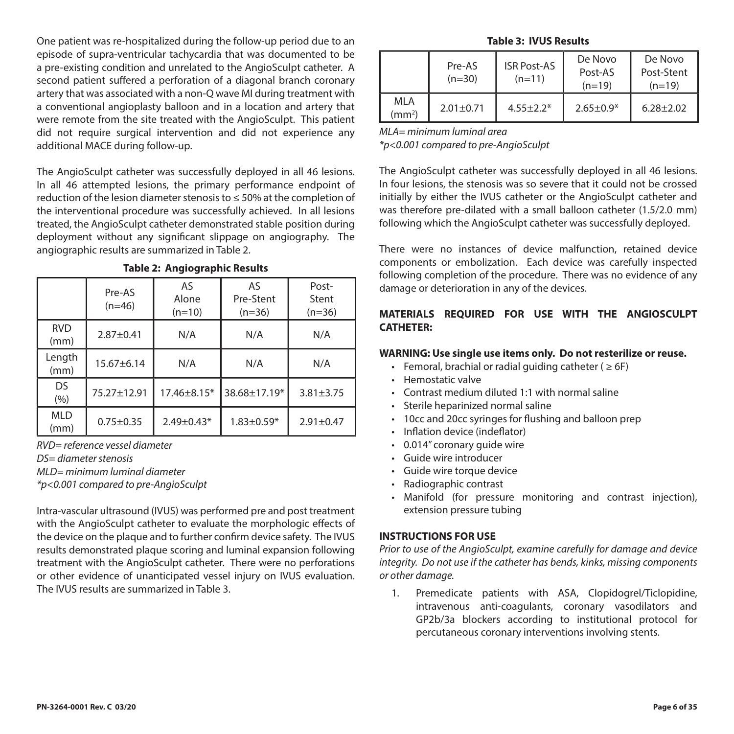One patient was re-hospitalized during the follow-up period due to an episode of supra-ventricular tachycardia that was documented to be a pre-existing condition and unrelated to the AngioSculpt catheter. A second patient suffered a perforation of a diagonal branch coronary artery that was associated with a non-Q wave MI during treatment with a conventional angioplasty balloon and in a location and artery that were remote from the site treated with the AngioSculpt. This patient did not require surgical intervention and did not experience any additional MACE during follow-up.

The AngioSculpt catheter was successfully deployed in all 46 lesions. In all 46 attempted lesions, the primary performance endpoint of reduction of the lesion diameter stenosis to ≤ 50% at the completion of the interventional procedure was successfully achieved. In all lesions treated, the AngioSculpt catheter demonstrated stable position during deployment without any significant slippage on angiography. The angiographic results are summarized in Table 2.

|                    | Pre-AS<br>$(n=46)$ | AS<br>Alone<br>$(n=10)$ | AS<br>Pre-Stent<br>$(n=36)$ | Post-<br>Stent<br>$(n=36)$ |
|--------------------|--------------------|-------------------------|-----------------------------|----------------------------|
| <b>RVD</b><br>(mm) | $2.87 + 0.41$      | N/A                     | N/A                         | N/A                        |
| Length<br>(mm)     | $15.67 + 6.14$     | N/A                     | N/A                         | N/A                        |
| DS<br>(%)          | 75.27±12.91        | $17.46 \pm 8.15*$       | 38.68±17.19*                | $3.81 + 3.75$              |
| <b>MLD</b><br>(mm) | $0.75 + 0.35$      | $2.49 \pm 0.43*$        | $1.83 \pm 0.59*$            | $2.91 \pm 0.47$            |

**Table 2: Angiographic Results**

*RVD= reference vessel diameter DS= diameter stenosis*

*MLD= minimum luminal diameter*

*\*p<0.001 compared to pre-AngioSculpt*

Intra-vascular ultrasound (IVUS) was performed pre and post treatment with the AngioSculpt catheter to evaluate the morphologic effects of the device on the plaque and to further confirm device safety. The IVUS results demonstrated plaque scoring and luminal expansion following treatment with the AngioSculpt catheter. There were no perforations or other evidence of unanticipated vessel injury on IVUS evaluation. The IVUS results are summarized in Table 3.

#### **Table 3: IVUS Results**

|                            | Pre-AS<br>$(n=30)$ | <b>ISR Post-AS</b><br>$(n=11)$ | De Novo<br>Post-AS<br>$(n=19)$ | De Novo<br>Post-Stent<br>$(n=19)$ |
|----------------------------|--------------------|--------------------------------|--------------------------------|-----------------------------------|
| <b>MLA</b><br>$\rm (mm^2)$ | $2.01 + 0.71$      | $4.55 + 2.2*$                  | $2.65 \pm 0.9*$                | $6.28 + 2.02$                     |

*MLA= minimum luminal area \*p<0.001 compared to pre-AngioSculpt*

The AngioSculpt catheter was successfully deployed in all 46 lesions. In four lesions, the stenosis was so severe that it could not be crossed initially by either the IVUS catheter or the AngioSculpt catheter and was therefore pre-dilated with a small balloon catheter (1.5/2.0 mm) following which the AngioSculpt catheter was successfully deployed.

There were no instances of device malfunction, retained device components or embolization. Each device was carefully inspected following completion of the procedure. There was no evidence of any damage or deterioration in any of the devices.

#### **MATERIALS REQUIRED FOR USE WITH THE ANGIOSCULPT CATHETER:**

#### **WARNING: Use single use items only. Do not resterilize or reuse.**

- Femoral, brachial or radial quiding catheter ( $\geq$  6F)
- Hemostatic valve
- Contrast medium diluted 1:1 with normal saline
- Sterile heparinized normal saline
- 10cc and 20cc syringes for flushing and balloon prep
- Inflation device (indeflator)
- 0.014" coronary guide wire
- Guide wire introducer
- Guide wire torque device
- Radiographic contrast
- Manifold (for pressure monitoring and contrast injection), extension pressure tubing

#### **INSTRUCTIONS FOR USE**

*Prior to use of the AngioSculpt, examine carefully for damage and device integrity. Do not use if the catheter has bends, kinks, missing components or other damage.*

1. Premedicate patients with ASA, Clopidogrel/Ticlopidine, intravenous anti-coagulants, coronary vasodilators and GP2b/3a blockers according to institutional protocol for percutaneous coronary interventions involving stents.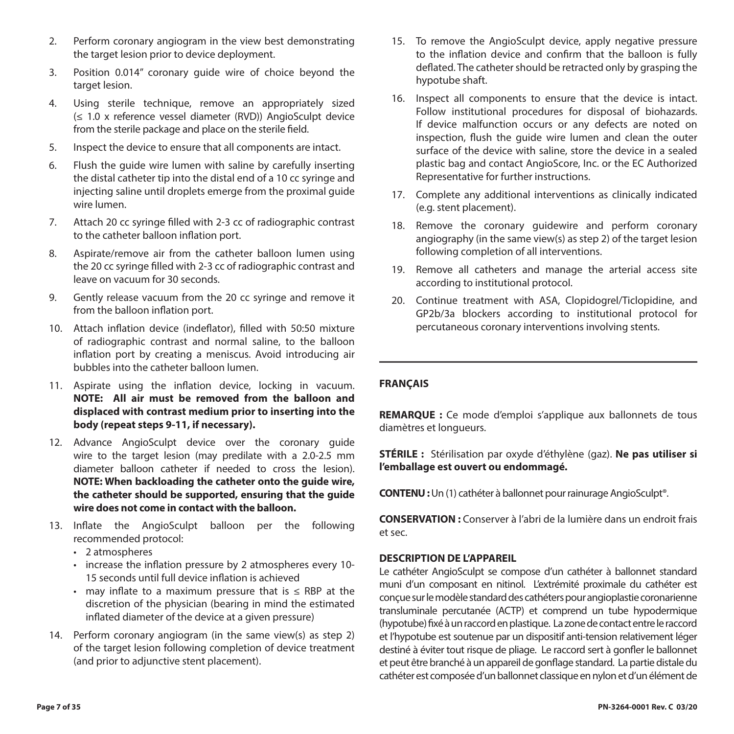- 2. Perform coronary angiogram in the view best demonstrating the target lesion prior to device deployment.
- 3. Position 0.014" coronary guide wire of choice beyond the target lesion.
- 4. Using sterile technique, remove an appropriately sized (≤ 1.0 x reference vessel diameter (RVD)) AngioSculpt device from the sterile package and place on the sterile field.
- 5. Inspect the device to ensure that all components are intact.
- 6. Flush the guide wire lumen with saline by carefully inserting the distal catheter tip into the distal end of a 10 cc syringe and injecting saline until droplets emerge from the proximal guide wire lumen.
- 7. Attach 20 cc syringe filled with 2-3 cc of radiographic contrast to the catheter balloon inflation port.
- 8. Aspirate/remove air from the catheter balloon lumen using the 20 cc syringe filled with 2-3 cc of radiographic contrast and leave on vacuum for 30 seconds.
- 9. Gently release vacuum from the 20 cc syringe and remove it from the balloon inflation port.
- 10. Attach inflation device (indeflator), filled with 50:50 mixture of radiographic contrast and normal saline, to the balloon inflation port by creating a meniscus. Avoid introducing air bubbles into the catheter balloon lumen.
- 11. Aspirate using the inflation device, locking in vacuum. **NOTE: All air must be removed from the balloon and displaced with contrast medium prior to inserting into the body (repeat steps 9-11, if necessary).**
- 12. Advance AngioSculpt device over the coronary guide wire to the target lesion (may predilate with a 2.0-2.5 mm diameter balloon catheter if needed to cross the lesion). **NOTE: When backloading the catheter onto the guide wire, the catheter should be supported, ensuring that the guide wire does not come in contact with the balloon.**
- 13. Inflate the AngioSculpt balloon per the following recommended protocol:
	- 2 atmospheres
	- increase the inflation pressure by 2 atmospheres every 10- 15 seconds until full device inflation is achieved
	- may inflate to a maximum pressure that is ≤ RBP at the discretion of the physician (bearing in mind the estimated inflated diameter of the device at a given pressure)
- 14. Perform coronary angiogram (in the same view(s) as step 2) of the target lesion following completion of device treatment (and prior to adjunctive stent placement).
- 15. To remove the AngioSculpt device, apply negative pressure to the inflation device and confirm that the balloon is fully deflated. The catheter should be retracted only by grasping the hypotube shaft.
- 16. Inspect all components to ensure that the device is intact. Follow institutional procedures for disposal of biohazards. If device malfunction occurs or any defects are noted on inspection, flush the guide wire lumen and clean the outer surface of the device with saline, store the device in a sealed plastic bag and contact AngioScore, Inc. or the EC Authorized Representative for further instructions.
- 17. Complete any additional interventions as clinically indicated (e.g. stent placement).
- 18. Remove the coronary guidewire and perform coronary angiography (in the same view(s) as step 2) of the target lesion following completion of all interventions.
- 19. Remove all catheters and manage the arterial access site according to institutional protocol.
- 20. Continue treatment with ASA, Clopidogrel/Ticlopidine, and GP2b/3a blockers according to institutional protocol for percutaneous coronary interventions involving stents.

#### **FRANÇAIS**

**REMARQUE :** Ce mode d'emploi s'applique aux ballonnets de tous diamètres et longueurs.

**STÉRILE :** Stérilisation par oxyde d'éthylène (gaz). **Ne pas utiliser si l'emballage est ouvert ou endommagé.**

**CONTENU :** Un (1) cathéter à ballonnet pour rainurage AngioSculpt®.

**CONSERVATION :** Conserver à l'abri de la lumière dans un endroit frais et sec.

#### **DESCRIPTION DE L'APPAREIL**

Le cathéter AngioSculpt se compose d'un cathéter à ballonnet standard muni d'un composant en nitinol. L'extrémité proximale du cathéter est conçue sur le modèle standard des cathéters pour angioplastie coronarienne transluminale percutanée (ACTP) et comprend un tube hypodermique (hypotube) fixé à un raccord en plastique. La zone de contact entre le raccord et l'hypotube est soutenue par un dispositif anti-tension relativement léger destiné à éviter tout risque de pliage. Le raccord sert à gonfler le ballonnet et peut être branché à un appareil de gonflage standard. La partie distale du cathéter est composée d'un ballonnet classique en nylon et d'un élément de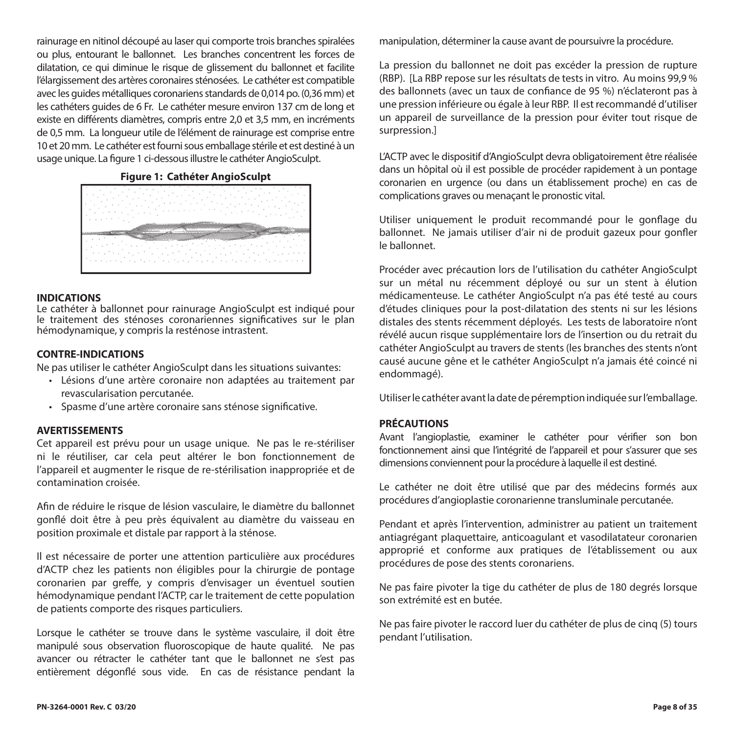rainurage en nitinol découpé au laser qui comporte trois branches spiralées ou plus, entourant le ballonnet. Les branches concentrent les forces de dilatation, ce qui diminue le risque de glissement du ballonnet et facilite l'élargissement des artères coronaires sténosées. Le cathéter est compatible avec les guides métalliques coronariens standards de 0,014 po. (0,36 mm) et les cathéters guides de 6 Fr. Le cathéter mesure environ 137 cm de long et existe en différents diamètres, compris entre 2,0 et 3,5 mm, en incréments de 0,5 mm. La longueur utile de l'élément de rainurage est comprise entre 10 et 20 mm. Le cathéter est fourni sous emballage stérile et est destiné à un usage unique. La figure 1 ci-dessous illustre le cathéter AngioSculpt.





#### **INDICATIONS**

Le cathéter à ballonnet pour rainurage AngioSculpt est indiqué pour le traitement des sténoses coronariennes significatives sur le plan hémodynamique, y compris la resténose intrastent.

#### **CONTRE-INDICATIONS**

Ne pas utiliser le cathéter AngioSculpt dans les situations suivantes:

- Lésions d'une artère coronaire non adaptées au traitement par revascularisation percutanée.
- Spasme d'une artère coronaire sans sténose significative.

#### **AVERTISSEMENTS**

Cet appareil est prévu pour un usage unique. Ne pas le re-stériliser ni le réutiliser, car cela peut altérer le bon fonctionnement de l'appareil et augmenter le risque de re-stérilisation inappropriée et de contamination croisée.

Afin de réduire le risque de lésion vasculaire, le diamètre du ballonnet gonflé doit être à peu près équivalent au diamètre du vaisseau en position proximale et distale par rapport à la sténose.

Il est nécessaire de porter une attention particulière aux procédures d'ACTP chez les patients non éligibles pour la chirurgie de pontage coronarien par greffe, y compris d'envisager un éventuel soutien hémodynamique pendant l'ACTP, car le traitement de cette population de patients comporte des risques particuliers.

Lorsque le cathéter se trouve dans le système vasculaire, il doit être manipulé sous observation fluoroscopique de haute qualité. Ne pas avancer ou rétracter le cathéter tant que le ballonnet ne s'est pas entièrement dégonflé sous vide. En cas de résistance pendant la manipulation, déterminer la cause avant de poursuivre la procédure.

La pression du ballonnet ne doit pas excéder la pression de rupture (RBP). [La RBP repose sur les résultats de tests in vitro. Au moins 99,9 % des ballonnets (avec un taux de confiance de 95 %) n'éclateront pas à une pression inférieure ou égale à leur RBP. Il est recommandé d'utiliser un appareil de surveillance de la pression pour éviter tout risque de surpression.]

L'ACTP avec le dispositif d'AngioSculpt devra obligatoirement être réalisée dans un hôpital où il est possible de procéder rapidement à un pontage coronarien en urgence (ou dans un établissement proche) en cas de complications graves ou menaçant le pronostic vital.

Utiliser uniquement le produit recommandé pour le gonflage du ballonnet. Ne jamais utiliser d'air ni de produit gazeux pour gonfler le ballonnet.

Procéder avec précaution lors de l'utilisation du cathéter AngioSculpt sur un métal nu récemment déployé ou sur un stent à élution médicamenteuse. Le cathéter AngioSculpt n'a pas été testé au cours d'études cliniques pour la post-dilatation des stents ni sur les lésions distales des stents récemment déployés. Les tests de laboratoire n'ont révélé aucun risque supplémentaire lors de l'insertion ou du retrait du cathéter AngioSculpt au travers de stents (les branches des stents n'ont causé aucune gêne et le cathéter AngioSculpt n'a jamais été coincé ni endommagé).

Utiliser le cathéter avant la date de péremption indiquée sur l'emballage.

#### **PRÉCAUTIONS**

Avant l'angioplastie, examiner le cathéter pour vérifier son bon fonctionnement ainsi que l'intégrité de l'appareil et pour s'assurer que ses dimensions conviennent pour la procédure à laquelle il est destiné.

Le cathéter ne doit être utilisé que par des médecins formés aux procédures d'angioplastie coronarienne transluminale percutanée.

Pendant et après l'intervention, administrer au patient un traitement antiagrégant plaquettaire, anticoagulant et vasodilatateur coronarien approprié et conforme aux pratiques de l'établissement ou aux procédures de pose des stents coronariens.

Ne pas faire pivoter la tige du cathéter de plus de 180 degrés lorsque son extrémité est en butée.

Ne pas faire pivoter le raccord luer du cathéter de plus de cinq (5) tours pendant l'utilisation.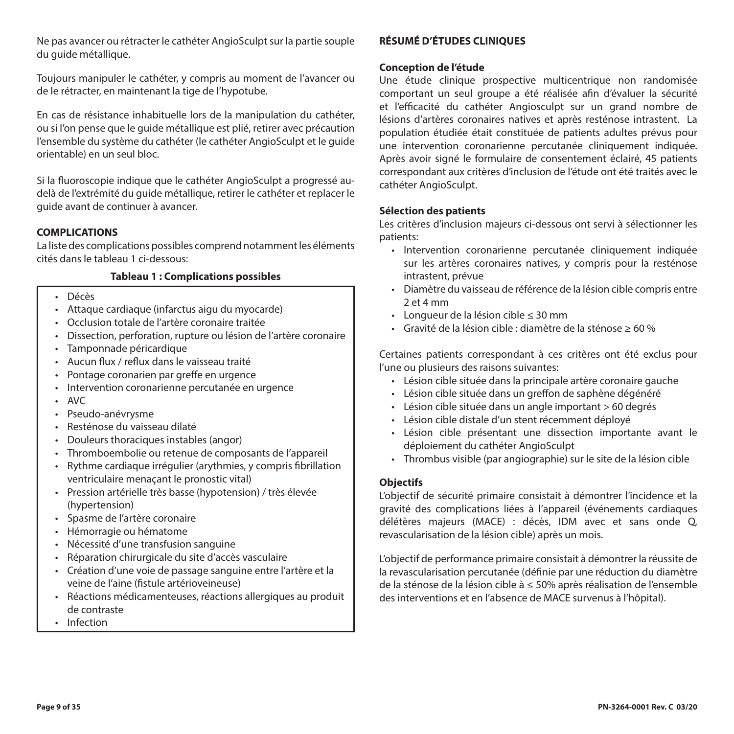Ne pas avancer ou rétracter le cathéter AngioSculpt sur la partie souple du guide métallique.

Toujours manipuler le cathéter, y compris au moment de l'avancer ou de le rétracter, en maintenant la tige de l'hypotube.

En cas de résistance inhabituelle lors de la manipulation du cathéter, ou si l'on pense que le guide métallique est plié, retirer avec précaution l'ensemble du système du cathéter (le cathéter AngioSculpt et le guide orientable) en un seul bloc.

Si la fluoroscopie indique que le cathéter AngioSculpt a progressé audelà de l'extrémité du guide métallique, retirer le cathéter et replacer le guide avant de continuer à avancer.

#### **COMPLICATIONS**

La liste des complications possibles comprend notamment les éléments cités dans le tableau 1 ci-dessous:

#### **Tableau 1 : Complications possibles**

- Décès
- Attaque cardiaque (infarctus aigu du myocarde)
- Occlusion totale de l'artère coronaire traitée
- Dissection, perforation, rupture ou lésion de l'artère coronaire
- Tamponnade péricardique
- Aucun flux / reflux dans le vaisseau traité
- Pontage coronarien par greffe en urgence
- Intervention coronarienne percutanée en urgence
- AVC
- Pseudo-anévrysme
- Resténose du vaisseau dilaté
- Douleurs thoraciques instables (angor)
- Thromboembolie ou retenue de composants de l'appareil
- Rythme cardiaque irrégulier (arythmies, y compris fibrillation ventriculaire menaçant le pronostic vital)
- Pression artérielle très basse (hypotension) / très élevée (hypertension)
- Spasme de l'artère coronaire
- Hémorragie ou hématome
- Nécessité d'une transfusion sanguine
- Réparation chirurgicale du site d'accès vasculaire
- Création d'une voie de passage sanguine entre l'artère et la veine de l'aine (fistule artérioveineuse)
- Réactions médicamenteuses, réactions allergiques au produit de contraste
- Infection

#### **RÉSUMÉ D'ÉTUDES CLINIQUES**

#### **Conception de l'étude**

Une étude clinique prospective multicentrique non randomisée comportant un seul groupe a été réalisée afin d'évaluer la sécurité et l'efficacité du cathéter Angiosculpt sur un grand nombre de lésions d'artères coronaires natives et après resténose intrastent. La population étudiée était constituée de patients adultes prévus pour une intervention coronarienne percutanée cliniquement indiquée. Après avoir signé le formulaire de consentement éclairé, 45 patients correspondant aux critères d'inclusion de l'étude ont été traités avec le cathéter AngioSculpt.

#### **Sélection des patients**

Les critères d'inclusion majeurs ci-dessous ont servi à sélectionner les patients:

- Intervention coronarienne percutanée cliniquement indiquée sur les artères coronaires natives, y compris pour la resténose intrastent, prévue
- Diamètre du vaisseau de référence de la lésion cible compris entre 2 et 4 mm
- Longueur de la lésion cible ≤ 30 mm
- Gravité de la lésion cible : diamètre de la sténose ≥ 60 %

Certaines patients correspondant à ces critères ont été exclus pour l'une ou plusieurs des raisons suivantes:

- Lésion cible située dans la principale artère coronaire gauche
- Lésion cible située dans un greffon de saphène dégénéré
- Lésion cible située dans un angle important > 60 degrés
- Lésion cible distale d'un stent récemment déployé
- Lésion cible présentant une dissection importante avant le déploiement du cathéter AngioSculpt
- Thrombus visible (par angiographie) sur le site de la lésion cible

#### **Objectifs**

L'objectif de sécurité primaire consistait à démontrer l'incidence et la gravité des complications liées à l'appareil (événements cardiaques délétères majeurs (MACE) : décès, IDM avec et sans onde Q, revascularisation de la lésion cible) après un mois.

L'objectif de performance primaire consistait à démontrer la réussite de la revascularisation percutanée (définie par une réduction du diamètre de la sténose de la lésion cible à ≤ 50% après réalisation de l'ensemble des interventions et en l'absence de MACE survenus à l'hôpital).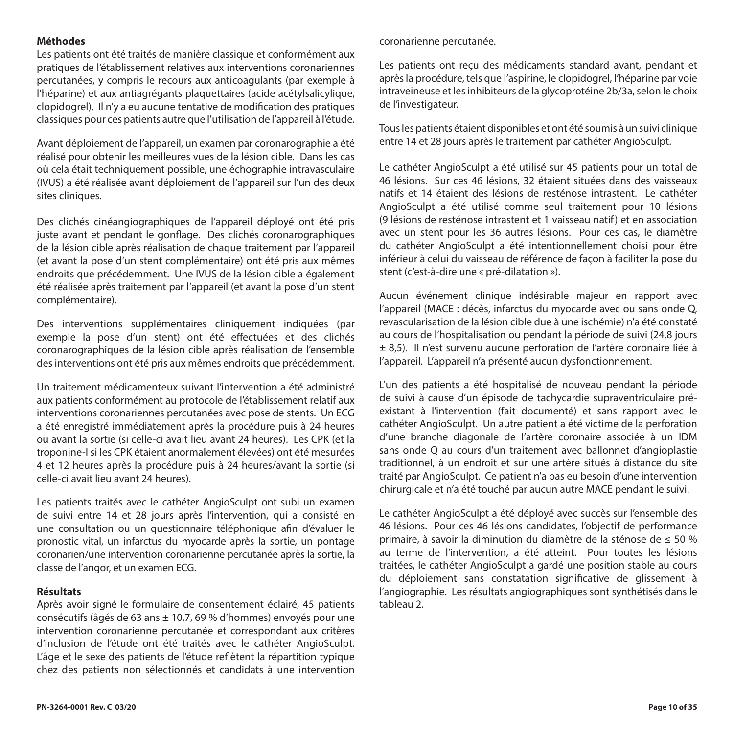#### **Méthodes**

Les patients ont été traités de manière classique et conformément aux pratiques de l'établissement relatives aux interventions coronariennes percutanées, y compris le recours aux anticoagulants (par exemple à l'héparine) et aux antiagrégants plaquettaires (acide acétylsalicylique, clopidogrel). Il n'y a eu aucune tentative de modification des pratiques classiques pour ces patients autre que l'utilisation de l'appareil à l'étude.

Avant déploiement de l'appareil, un examen par coronarographie a été réalisé pour obtenir les meilleures vues de la lésion cible. Dans les cas où cela était techniquement possible, une échographie intravasculaire (IVUS) a été réalisée avant déploiement de l'appareil sur l'un des deux sites cliniques.

Des clichés cinéangiographiques de l'appareil déployé ont été pris juste avant et pendant le gonflage. Des clichés coronarographiques de la lésion cible après réalisation de chaque traitement par l'appareil (et avant la pose d'un stent complémentaire) ont été pris aux mêmes endroits que précédemment. Une IVUS de la lésion cible a également été réalisée après traitement par l'appareil (et avant la pose d'un stent complémentaire).

Des interventions supplémentaires cliniquement indiquées (par exemple la pose d'un stent) ont été effectuées et des clichés coronarographiques de la lésion cible après réalisation de l'ensemble des interventions ont été pris aux mêmes endroits que précédemment.

Un traitement médicamenteux suivant l'intervention a été administré aux patients conformément au protocole de l'établissement relatif aux interventions coronariennes percutanées avec pose de stents. Un ECG a été enregistré immédiatement après la procédure puis à 24 heures ou avant la sortie (si celle-ci avait lieu avant 24 heures). Les CPK (et la troponine-I si les CPK étaient anormalement élevées) ont été mesurées 4 et 12 heures après la procédure puis à 24 heures/avant la sortie (si celle-ci avait lieu avant 24 heures).

Les patients traités avec le cathéter AngioSculpt ont subi un examen de suivi entre 14 et 28 jours après l'intervention, qui a consisté en une consultation ou un questionnaire téléphonique afin d'évaluer le pronostic vital, un infarctus du myocarde après la sortie, un pontage coronarien/une intervention coronarienne percutanée après la sortie, la classe de l'angor, et un examen ECG.

#### **Résultats**

Après avoir signé le formulaire de consentement éclairé, 45 patients consécutifs (âgés de 63 ans ± 10,7, 69 % d'hommes) envoyés pour une intervention coronarienne percutanée et correspondant aux critères d'inclusion de l'étude ont été traités avec le cathéter AngioSculpt. L'âge et le sexe des patients de l'étude reflètent la répartition typique chez des patients non sélectionnés et candidats à une intervention coronarienne percutanée.

Les patients ont reçu des médicaments standard avant, pendant et après la procédure, tels que l'aspirine, le clopidogrel, l'héparine par voie intraveineuse et les inhibiteurs de la glycoprotéine 2b/3a, selon le choix de l'investigateur.

Tous les patients étaient disponibles et ont été soumis à un suivi clinique entre 14 et 28 jours après le traitement par cathéter AngioSculpt.

Le cathéter AngioSculpt a été utilisé sur 45 patients pour un total de 46 lésions. Sur ces 46 lésions, 32 étaient situées dans des vaisseaux natifs et 14 étaient des lésions de resténose intrastent. Le cathéter AngioSculpt a été utilisé comme seul traitement pour 10 lésions (9 lésions de resténose intrastent et 1 vaisseau natif) et en association avec un stent pour les 36 autres lésions. Pour ces cas, le diamètre du cathéter AngioSculpt a été intentionnellement choisi pour être inférieur à celui du vaisseau de référence de façon à faciliter la pose du stent (c'est-à-dire une « pré-dilatation »).

Aucun événement clinique indésirable majeur en rapport avec l'appareil (MACE : décès, infarctus du myocarde avec ou sans onde Q, revascularisation de la lésion cible due à une ischémie) n'a été constaté au cours de l'hospitalisation ou pendant la période de suivi (24,8 jours ± 8,5). Il n'est survenu aucune perforation de l'artère coronaire liée à l'appareil. L'appareil n'a présenté aucun dysfonctionnement.

L'un des patients a été hospitalisé de nouveau pendant la période de suivi à cause d'un épisode de tachycardie supraventriculaire préexistant à l'intervention (fait documenté) et sans rapport avec le cathéter AngioSculpt. Un autre patient a été victime de la perforation d'une branche diagonale de l'artère coronaire associée à un IDM sans onde Q au cours d'un traitement avec ballonnet d'angioplastie traditionnel, à un endroit et sur une artère situés à distance du site traité par AngioSculpt. Ce patient n'a pas eu besoin d'une intervention chirurgicale et n'a été touché par aucun autre MACE pendant le suivi.

Le cathéter AngioSculpt a été déployé avec succès sur l'ensemble des 46 lésions. Pour ces 46 lésions candidates, l'objectif de performance primaire, à savoir la diminution du diamètre de la sténose de ≤ 50 % au terme de l'intervention, a été atteint. Pour toutes les lésions traitées, le cathéter AngioSculpt a gardé une position stable au cours du déploiement sans constatation significative de glissement à l'angiographie. Les résultats angiographiques sont synthétisés dans le tableau 2.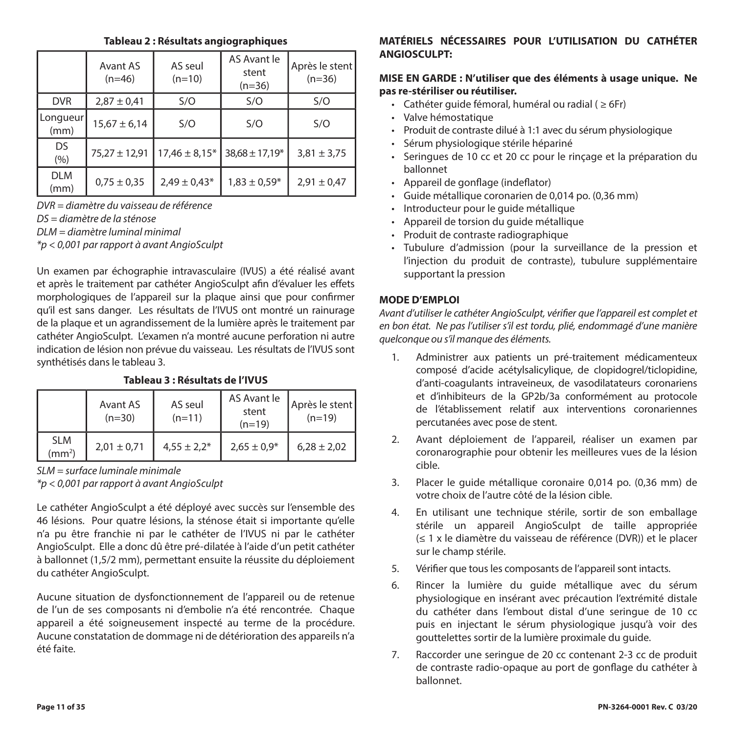|  |  |  | Tableau 2 : Résultats angiographiques |  |
|--|--|--|---------------------------------------|--|
|--|--|--|---------------------------------------|--|

|                    | Avant AS<br>$(n=46)$ | AS seul<br>$(n=10)$ | AS Avant le<br>stent<br>$(n=36)$ | Après le stent<br>$(n=36)$ |
|--------------------|----------------------|---------------------|----------------------------------|----------------------------|
| <b>DVR</b>         | $2,87 \pm 0,41$      | S/O                 | S/O                              | S/O                        |
| Longueur<br>(mm)   | $15,67 \pm 6,14$     | S/O                 | S/O                              | S/O                        |
| DS<br>(% )         | $75,27 \pm 12,91$    | $17,46 \pm 8,15*$   | $38,68 \pm 17,19*$               | $3,81 \pm 3,75$            |
| <b>DLM</b><br>(mm) | $0.75 \pm 0.35$      | $2,49 \pm 0,43*$    | $1,83 \pm 0.59*$                 | $2,91 \pm 0,47$            |

*DVR = diamètre du vaisseau de référence*

*DS = diamètre de la sténose*

*DLM = diamètre luminal minimal*

*\*p < 0,001 par rapport à avant AngioSculpt*

Un examen par échographie intravasculaire (IVUS) a été réalisé avant et après le traitement par cathéter AngioSculpt afin d'évaluer les effets morphologiques de l'appareil sur la plaque ainsi que pour confirmer qu'il est sans danger. Les résultats de l'IVUS ont montré un rainurage de la plaque et un agrandissement de la lumière après le traitement par cathéter AngioSculpt. L'examen n'a montré aucune perforation ni autre indication de lésion non prévue du vaisseau. Les résultats de l'IVUS sont synthétisés dans le tableau 3.

#### **Tableau 3 : Résultats de l'IVUS**

|                            | Avant AS<br>$(n=30)$ | AS seul<br>$(n=11)$ | AS Avant le<br>stent<br>$(n=19)$ | Après le stent<br>$(n=19)$ |
|----------------------------|----------------------|---------------------|----------------------------------|----------------------------|
| <b>SLM</b><br>$\rm (mm^2)$ | $2,01 \pm 0,71$      | $4.55 \pm 2.2^*$    | $2,65 \pm 0.9*$                  | $6,28 \pm 2,02$            |

*SLM = surface luminale minimale*

*\*p < 0,001 par rapport à avant AngioSculpt*

Le cathéter AngioSculpt a été déployé avec succès sur l'ensemble des 46 lésions. Pour quatre lésions, la sténose était si importante qu'elle n'a pu être franchie ni par le cathéter de l'IVUS ni par le cathéter AngioSculpt. Elle a donc dû être pré-dilatée à l'aide d'un petit cathéter à ballonnet (1,5/2 mm), permettant ensuite la réussite du déploiement du cathéter AngioSculpt.

Aucune situation de dysfonctionnement de l'appareil ou de retenue de l'un de ses composants ni d'embolie n'a été rencontrée. Chaque appareil a été soigneusement inspecté au terme de la procédure. Aucune constatation de dommage ni de détérioration des appareils n'a été faite.

#### **MATÉRIELS NÉCESSAIRES POUR L'UTILISATION DU CATHÉTER ANGIOSCULPT:**

#### **MISE EN GARDE : N'utiliser que des éléments à usage unique. Ne pas re-stériliser ou réutiliser.**

- Cathéter quide fémoral, huméral ou radial ( $\geq$  6Fr)
- Valve hémostatique
- Produit de contraste dilué à 1:1 avec du sérum physiologique
- Sérum physiologique stérile hépariné
- Seringues de 10 cc et 20 cc pour le rinçage et la préparation du ballonnet
- Appareil de gonflage (indeflator)
- Guide métallique coronarien de 0,014 po. (0,36 mm)
- Introducteur pour le guide métallique
- Appareil de torsion du guide métallique
- Produit de contraste radiographique
- Tubulure d'admission (pour la surveillance de la pression et l'injection du produit de contraste), tubulure supplémentaire supportant la pression

#### **MODE D'EMPLOI**

*Avant d'utiliser le cathéter AngioSculpt, vérifier que l'appareil est complet et en bon état. Ne pas l'utiliser s'il est tordu, plié, endommagé d'une manière quelconque ou s'il manque des éléments.*

- 1. Administrer aux patients un pré-traitement médicamenteux composé d'acide acétylsalicylique, de clopidogrel/ticlopidine, d'anti-coagulants intraveineux, de vasodilatateurs coronariens et d'inhibiteurs de la GP2b/3a conformément au protocole de l'établissement relatif aux interventions coronariennes percutanées avec pose de stent.
- 2. Avant déploiement de l'appareil, réaliser un examen par coronarographie pour obtenir les meilleures vues de la lésion cible.
- 3. Placer le guide métallique coronaire 0,014 po. (0,36 mm) de votre choix de l'autre côté de la lésion cible.
- 4. En utilisant une technique stérile, sortir de son emballage stérile un appareil AngioSculpt de taille appropriée (≤ 1 x le diamètre du vaisseau de référence (DVR)) et le placer sur le champ stérile.
- 5. Vérifier que tous les composants de l'appareil sont intacts.
- 6. Rincer la lumière du guide métallique avec du sérum physiologique en insérant avec précaution l'extrémité distale du cathéter dans l'embout distal d'une seringue de 10 cc puis en injectant le sérum physiologique jusqu'à voir des gouttelettes sortir de la lumière proximale du guide.
- 7. Raccorder une seringue de 20 cc contenant 2-3 cc de produit de contraste radio-opaque au port de gonflage du cathéter à ballonnet.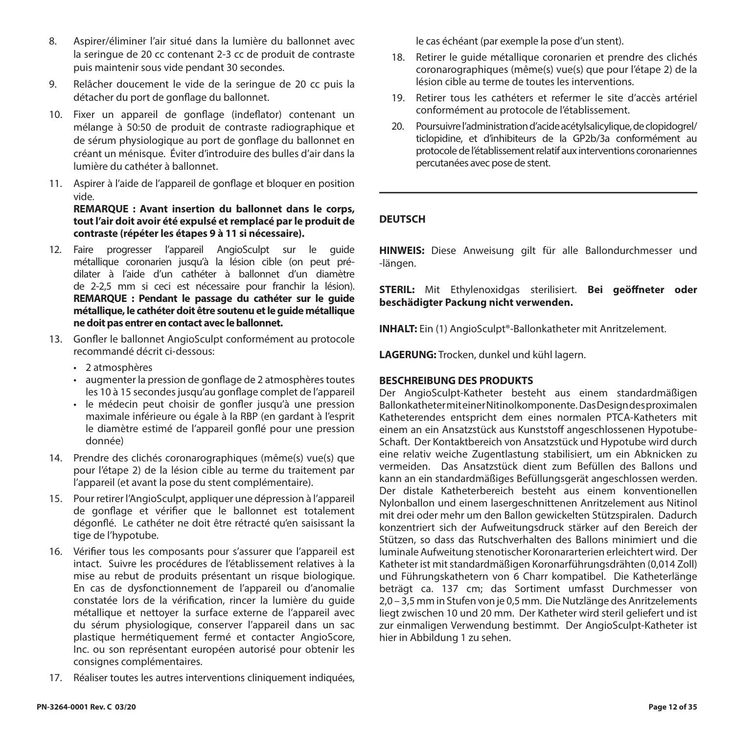- 9. Relâcher doucement le vide de la seringue de 20 cc puis la détacher du port de gonflage du ballonnet.
- 10. Fixer un appareil de gonflage (indeflator) contenant un mélange à 50:50 de produit de contraste radiographique et de sérum physiologique au port de gonflage du ballonnet en créant un ménisque. Éviter d'introduire des bulles d'air dans la lumière du cathéter à ballonnet.
- 11. Aspirer à l'aide de l'appareil de gonflage et bloquer en position vide. **REMARQUE : Avant insertion du ballonnet dans le corps, tout l'air doit avoir été expulsé et remplacé par le produit de**

**contraste (répéter les étapes 9 à 11 si nécessaire).**

- 12. Faire progresser l'appareil AngioSculpt sur le guide métallique coronarien jusqu'à la lésion cible (on peut prédilater à l'aide d'un cathéter à ballonnet d'un diamètre de 2-2,5 mm si ceci est nécessaire pour franchir la lésion). **REMARQUE : Pendant le passage du cathéter sur le guide métallique, le cathéter doit être soutenu et le guide métallique ne doit pas entrer en contact avec le ballonnet.**
- 13. Gonfler le ballonnet AngioSculpt conformément au protocole recommandé décrit ci-dessous:
	- 2 atmosphères
	- augmenter la pression de gonflage de 2 atmosphères toutes les 10 à 15 secondes jusqu'au gonflage complet de l'appareil
	- le médecin peut choisir de gonfler jusqu'à une pression maximale inférieure ou égale à la RBP (en gardant à l'esprit le diamètre estimé de l'appareil gonflé pour une pression donnée)
- 14. Prendre des clichés coronarographiques (même(s) vue(s) que pour l'étape 2) de la lésion cible au terme du traitement par l'appareil (et avant la pose du stent complémentaire).
- 15. Pour retirer l'AngioSculpt, appliquer une dépression à l'appareil de gonflage et vérifier que le ballonnet est totalement dégonflé. Le cathéter ne doit être rétracté qu'en saisissant la tige de l'hypotube.
- 16. Vérifier tous les composants pour s'assurer que l'appareil est intact. Suivre les procédures de l'établissement relatives à la mise au rebut de produits présentant un risque biologique. En cas de dysfonctionnement de l'appareil ou d'anomalie constatée lors de la vérification, rincer la lumière du guide métallique et nettoyer la surface externe de l'appareil avec du sérum physiologique, conserver l'appareil dans un sac plastique hermétiquement fermé et contacter AngioScore, Inc. ou son représentant européen autorisé pour obtenir les consignes complémentaires.
- 17. Réaliser toutes les autres interventions cliniquement indiquées,

le cas échéant (par exemple la pose d'un stent).

- 18. Retirer le guide métallique coronarien et prendre des clichés coronarographiques (même(s) vue(s) que pour l'étape 2) de la lésion cible au terme de toutes les interventions.
- 19. Retirer tous les cathéters et refermer le site d'accès artériel conformément au protocole de l'établissement.
- 20. Poursuivre l'administration d'acide acétylsalicylique, de clopidogrel/ ticlopidine, et d'inhibiteurs de la GP2b/3a conformément au protocole de l'établissement relatif aux interventions coronariennes percutanées avec pose de stent.

#### **DEUTSCH**

**HINWEIS:** Diese Anweisung gilt für alle Ballondurchmesser und -längen.

**STERIL:** Mit Ethylenoxidgas sterilisiert. **Bei geöffneter oder beschädigter Packung nicht verwenden.**

**INHALT:** Ein (1) AngioSculpt®-Ballonkatheter mit Anritzelement.

**LAGERUNG:** Trocken, dunkel und kühl lagern.

#### **BESCHREIBUNG DES PRODUKTS**

Der AngioSculpt-Katheter besteht aus einem standardmäßigen Ballonkatheter mit einer Nitinolkomponente. Das Design des proximalen Katheterendes entspricht dem eines normalen PTCA-Katheters mit einem an ein Ansatzstück aus Kunststoff angeschlossenen Hypotube-Schaft. Der Kontaktbereich von Ansatzstück und Hypotube wird durch eine relativ weiche Zugentlastung stabilisiert, um ein Abknicken zu vermeiden. Das Ansatzstück dient zum Befüllen des Ballons und kann an ein standardmäßiges Befüllungsgerät angeschlossen werden. Der distale Katheterbereich besteht aus einem konventionellen Nylonballon und einem lasergeschnittenen Anritzelement aus Nitinol mit drei oder mehr um den Ballon gewickelten Stützspiralen. Dadurch konzentriert sich der Aufweitungsdruck stärker auf den Bereich der Stützen, so dass das Rutschverhalten des Ballons minimiert und die luminale Aufweitung stenotischer Koronararterien erleichtert wird. Der Katheter ist mit standardmäßigen Koronarführungsdrähten (0,014 Zoll) und Führungskathetern von 6 Charr kompatibel. Die Katheterlänge beträgt ca. 137 cm; das Sortiment umfasst Durchmesser von 2,0 – 3,5 mm in Stufen von je 0,5 mm. Die Nutzlänge des Anritzelements liegt zwischen 10 und 20 mm. Der Katheter wird steril geliefert und ist zur einmaligen Verwendung bestimmt. Der AngioSculpt-Katheter ist hier in Abbildung 1 zu sehen.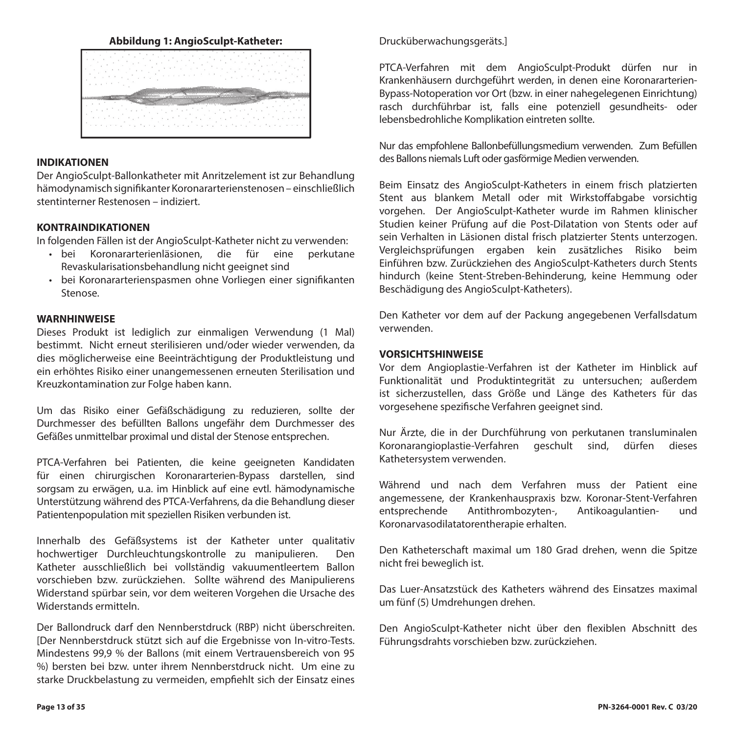**Abbildung 1: AngioSculpt-Katheter:**



#### **INDIKATIONEN**

Der AngioSculpt-Ballonkatheter mit Anritzelement ist zur Behandlung hämodynamisch signifikanter Koronararterienstenosen – einschließlich stentinterner Restenosen – indiziert.

#### **KONTRAINDIKATIONEN**

In folgenden Fällen ist der AngioSculpt-Katheter nicht zu verwenden:

- bei Koronararterienläsionen, die für eine perkutane Revaskularisationsbehandlung nicht geeignet sind
- bei Koronararterienspasmen ohne Vorliegen einer signifikanten Stenose.

#### **WARNHINWEISE**

Dieses Produkt ist lediglich zur einmaligen Verwendung (1 Mal) bestimmt. Nicht erneut sterilisieren und/oder wieder verwenden, da dies möglicherweise eine Beeinträchtigung der Produktleistung und ein erhöhtes Risiko einer unangemessenen erneuten Sterilisation und Kreuzkontamination zur Folge haben kann.

Um das Risiko einer Gefäßschädigung zu reduzieren, sollte der Durchmesser des befüllten Ballons ungefähr dem Durchmesser des Gefäßes unmittelbar proximal und distal der Stenose entsprechen.

PTCA-Verfahren bei Patienten, die keine geeigneten Kandidaten für einen chirurgischen Koronararterien-Bypass darstellen, sind sorgsam zu erwägen, u.a. im Hinblick auf eine evtl. hämodynamische Unterstützung während des PTCA-Verfahrens, da die Behandlung dieser Patientenpopulation mit speziellen Risiken verbunden ist.

Innerhalb des Gefäßsystems ist der Katheter unter qualitativ hochwertiger Durchleuchtungskontrolle zu manipulieren. Den Katheter ausschließlich bei vollständig vakuumentleertem Ballon vorschieben bzw. zurückziehen. Sollte während des Manipulierens Widerstand spürbar sein, vor dem weiteren Vorgehen die Ursache des Widerstands ermitteln.

Der Ballondruck darf den Nennberstdruck (RBP) nicht überschreiten. [Der Nennberstdruck stützt sich auf die Ergebnisse von In-vitro-Tests. Mindestens 99,9 % der Ballons (mit einem Vertrauensbereich von 95 %) bersten bei bzw. unter ihrem Nennberstdruck nicht. Um eine zu starke Druckbelastung zu vermeiden, empfiehlt sich der Einsatz eines

Drucküberwachungsgeräts.]

PTCA-Verfahren mit dem AngioSculpt-Produkt dürfen nur in Krankenhäusern durchgeführt werden, in denen eine Koronararterien-Bypass-Notoperation vor Ort (bzw. in einer nahegelegenen Einrichtung) rasch durchführbar ist, falls eine potenziell gesundheits- oder lebensbedrohliche Komplikation eintreten sollte.

Nur das empfohlene Ballonbefüllungsmedium verwenden. Zum Befüllen des Ballons niemals Luft oder gasförmige Medien verwenden.

Beim Einsatz des AngioSculpt-Katheters in einem frisch platzierten Stent aus blankem Metall oder mit Wirkstoffabgabe vorsichtig vorgehen. Der AngioSculpt-Katheter wurde im Rahmen klinischer Studien keiner Prüfung auf die Post-Dilatation von Stents oder auf sein Verhalten in Läsionen distal frisch platzierter Stents unterzogen. Vergleichsprüfungen ergaben kein zusätzliches Risiko beim Einführen bzw. Zurückziehen des AngioSculpt-Katheters durch Stents hindurch (keine Stent-Streben-Behinderung, keine Hemmung oder Beschädigung des AngioSculpt-Katheters).

Den Katheter vor dem auf der Packung angegebenen Verfallsdatum verwenden.

#### **VORSICHTSHINWEISE**

Vor dem Angioplastie-Verfahren ist der Katheter im Hinblick auf Funktionalität und Produktintegrität zu untersuchen; außerdem ist sicherzustellen, dass Größe und Länge des Katheters für das vorgesehene spezifische Verfahren geeignet sind.

Nur Ärzte, die in der Durchführung von perkutanen transluminalen Koronarangioplastie-Verfahren geschult sind, dürfen dieses Kathetersystem verwenden.

Während und nach dem Verfahren muss der Patient eine angemessene, der Krankenhauspraxis bzw. Koronar-Stent-Verfahren entsprechende Antithrombozyten-, Antikoagulantien- und Koronarvasodilatatorentherapie erhalten.

Den Katheterschaft maximal um 180 Grad drehen, wenn die Spitze nicht frei beweglich ist.

Das Luer-Ansatzstück des Katheters während des Einsatzes maximal um fünf (5) Umdrehungen drehen.

Den AngioSculpt-Katheter nicht über den flexiblen Abschnitt des Führungsdrahts vorschieben bzw. zurückziehen.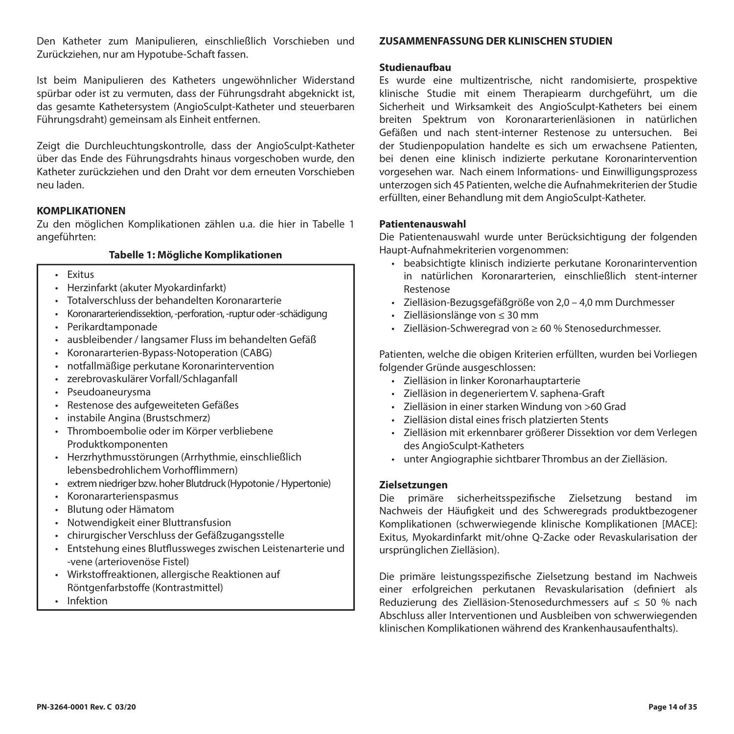Den Katheter zum Manipulieren, einschließlich Vorschieben und Zurückziehen, nur am Hypotube-Schaft fassen.

Ist beim Manipulieren des Katheters ungewöhnlicher Widerstand spürbar oder ist zu vermuten, dass der Führungsdraht abgeknickt ist, das gesamte Kathetersystem (AngioSculpt-Katheter und steuerbaren Führungsdraht) gemeinsam als Einheit entfernen.

Zeigt die Durchleuchtungskontrolle, dass der AngioSculpt-Katheter über das Ende des Führungsdrahts hinaus vorgeschoben wurde, den Katheter zurückziehen und den Draht vor dem erneuten Vorschieben neu laden.

#### **KOMPLIKATIONEN**

Zu den möglichen Komplikationen zählen u.a. die hier in Tabelle 1 angeführten:

#### **Tabelle 1: Mögliche Komplikationen**

- **Fxitus**
- Herzinfarkt (akuter Myokardinfarkt)
- Totalverschluss der behandelten Koronararterie
- Koronararteriendissektion, -perforation, -ruptur oder -schädigung
- Perikardtamponade
- ausbleibender / langsamer Fluss im behandelten Gefäß
- Koronararterien-Bypass-Notoperation (CABG)
- notfallmäßige perkutane Koronarintervention
- zerebrovaskulärer Vorfall/Schlaganfall
- Pseudoaneurysma
- Restenose des aufgeweiteten Gefäßes
- instabile Angina (Brustschmerz)
- Thromboembolie oder im Körper verbliebene Produktkomponenten
- Herzrhythmusstörungen (Arrhythmie, einschließlich lebensbedrohlichem Vorhofflimmern)
- extrem niedriger bzw. hoher Blutdruck (Hypotonie / Hypertonie)
- Koronararterienspasmus
- Blutung oder Hämatom
- Notwendigkeit einer Bluttransfusion
- chirurgischer Verschluss der Gefäßzugangsstelle
- Entstehung eines Blutflussweges zwischen Leistenarterie und -vene (arteriovenöse Fistel)
- Wirkstoffreaktionen, allergische Reaktionen auf Röntgenfarbstoffe (Kontrastmittel)
- Infektion

#### **ZUSAMMENFASSUNG DER KLINISCHEN STUDIEN**

#### **Studienaufbau**

Es wurde eine multizentrische, nicht randomisierte, prospektive klinische Studie mit einem Therapiearm durchgeführt, um die Sicherheit und Wirksamkeit des AngioSculpt-Katheters bei einem breiten Spektrum von Koronararterienläsionen in natürlichen Gefäßen und nach stent-interner Restenose zu untersuchen. Bei der Studienpopulation handelte es sich um erwachsene Patienten, bei denen eine klinisch indizierte perkutane Koronarintervention vorgesehen war. Nach einem Informations- und Einwilligungsprozess unterzogen sich 45 Patienten, welche die Aufnahmekriterien der Studie erfüllten, einer Behandlung mit dem AngioSculpt-Katheter.

#### **Patientenauswahl**

Die Patientenauswahl wurde unter Berücksichtigung der folgenden Haupt-Aufnahmekriterien vorgenommen:

- beabsichtigte klinisch indizierte perkutane Koronarintervention in natürlichen Koronararterien, einschließlich stent-interner Restenose
- Zielläsion-Bezugsgefäßgröße von 2,0 4,0 mm Durchmesser
- Zielläsionslänge von ≤ 30 mm
- Zielläsion-Schweregrad von ≥ 60 % Stenosedurchmesser.

Patienten, welche die obigen Kriterien erfüllten, wurden bei Vorliegen folgender Gründe ausgeschlossen:

- Zielläsion in linker Koronarhauptarterie
- Zielläsion in degeneriertem V. saphena-Graft
- Zielläsion in einer starken Windung von >60 Grad
- Zielläsion distal eines frisch platzierten Stents
- Zielläsion mit erkennbarer größerer Dissektion vor dem Verlegen des AngioSculpt-Katheters
- unter Angiographie sichtbarer Thrombus an der Zielläsion.

#### **Zielsetzungen**

Die primäre sicherheitsspezifische Zielsetzung bestand im Nachweis der Häufigkeit und des Schweregrads produktbezogener Komplikationen (schwerwiegende klinische Komplikationen [MACE]: Exitus, Myokardinfarkt mit/ohne Q-Zacke oder Revaskularisation der ursprünglichen Zielläsion).

Die primäre leistungsspezifische Zielsetzung bestand im Nachweis einer erfolgreichen perkutanen Revaskularisation (definiert als Reduzierung des Zielläsion-Stenosedurchmessers auf ≤ 50 % nach Abschluss aller Interventionen und Ausbleiben von schwerwiegenden klinischen Komplikationen während des Krankenhausaufenthalts).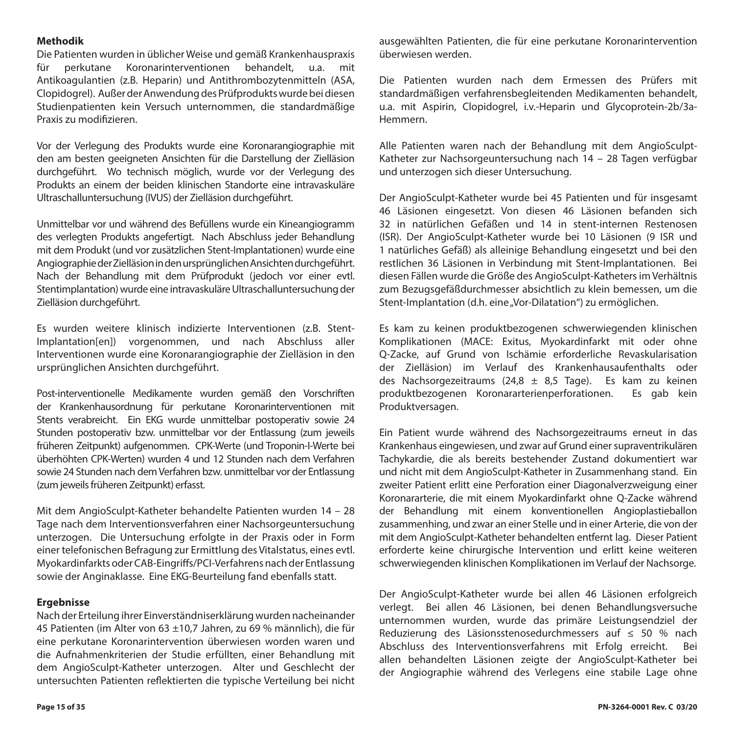#### **Methodik**

Die Patienten wurden in üblicher Weise und gemäß Krankenhauspraxis für perkutane Koronarinterventionen behandelt, u.a. mit Antikoagulantien (z.B. Heparin) und Antithrombozytenmitteln (ASA, Clopidogrel). Außer der Anwendung des Prüfprodukts wurde bei diesen Studienpatienten kein Versuch unternommen, die standardmäßige Praxis zu modifizieren.

Vor der Verlegung des Produkts wurde eine Koronarangiographie mit den am besten geeigneten Ansichten für die Darstellung der Zielläsion durchgeführt. Wo technisch möglich, wurde vor der Verlegung des Produkts an einem der beiden klinischen Standorte eine intravaskuläre Ultraschalluntersuchung (IVUS) der Zielläsion durchgeführt.

Unmittelbar vor und während des Befüllens wurde ein Kineangiogramm des verlegten Produkts angefertigt. Nach Abschluss jeder Behandlung mit dem Produkt (und vor zusätzlichen Stent-Implantationen) wurde eine Angiographie der Zielläsion in den ursprünglichen Ansichten durchgeführt. Nach der Behandlung mit dem Prüfprodukt (jedoch vor einer evtl. Stentimplantation) wurde eine intravaskuläre Ultraschalluntersuchung der Zielläsion durchgeführt.

Es wurden weitere klinisch indizierte Interventionen (z.B. Stent-Implantation[en]) vorgenommen, und nach Abschluss aller Interventionen wurde eine Koronarangiographie der Zielläsion in den ursprünglichen Ansichten durchgeführt.

Post-interventionelle Medikamente wurden gemäß den Vorschriften der Krankenhausordnung für perkutane Koronarinterventionen mit Stents verabreicht. Ein EKG wurde unmittelbar postoperativ sowie 24 Stunden postoperativ bzw. unmittelbar vor der Entlassung (zum jeweils früheren Zeitpunkt) aufgenommen. CPK-Werte (und Troponin-I-Werte bei überhöhten CPK-Werten) wurden 4 und 12 Stunden nach dem Verfahren sowie 24 Stunden nach dem Verfahren bzw. unmittelbar vor der Entlassung (zum jeweils früheren Zeitpunkt) erfasst.

Mit dem AngioSculpt-Katheter behandelte Patienten wurden 14 – 28 Tage nach dem Interventionsverfahren einer Nachsorgeuntersuchung unterzogen. Die Untersuchung erfolgte in der Praxis oder in Form einer telefonischen Befragung zur Ermittlung des Vitalstatus, eines evtl. Myokardinfarkts oder CAB-Eingriffs/PCI-Verfahrens nach der Entlassung sowie der Anginaklasse. Eine EKG-Beurteilung fand ebenfalls statt.

#### **Ergebnisse**

Nach der Erteilung ihrer Einverständniserklärung wurden nacheinander 45 Patienten (im Alter von 63 ±10,7 Jahren, zu 69 % männlich), die für eine perkutane Koronarintervention überwiesen worden waren und die Aufnahmenkriterien der Studie erfüllten, einer Behandlung mit dem AngioSculpt-Katheter unterzogen. Alter und Geschlecht der untersuchten Patienten reflektierten die typische Verteilung bei nicht ausgewählten Patienten, die für eine perkutane Koronarintervention überwiesen werden.

Die Patienten wurden nach dem Ermessen des Prüfers mit standardmäßigen verfahrensbegleitenden Medikamenten behandelt, u.a. mit Aspirin, Clopidogrel, i.v.-Heparin und Glycoprotein-2b/3a-Hemmern.

Alle Patienten waren nach der Behandlung mit dem AngioSculpt-Katheter zur Nachsorgeuntersuchung nach 14 – 28 Tagen verfügbar und unterzogen sich dieser Untersuchung.

Der AngioSculpt-Katheter wurde bei 45 Patienten und für insgesamt 46 Läsionen eingesetzt. Von diesen 46 Läsionen befanden sich 32 in natürlichen Gefäßen und 14 in stent-internen Restenosen (ISR). Der AngioSculpt-Katheter wurde bei 10 Läsionen (9 ISR und 1 natürliches Gefäß) als alleinige Behandlung eingesetzt und bei den restlichen 36 Läsionen in Verbindung mit Stent-Implantationen. Bei diesen Fällen wurde die Größe des AngioSculpt-Katheters im Verhältnis zum Bezugsgefäßdurchmesser absichtlich zu klein bemessen, um die Stent-Implantation (d.h. eine "Vor-Dilatation") zu ermöglichen.

Es kam zu keinen produktbezogenen schwerwiegenden klinischen Komplikationen (MACE: Exitus, Myokardinfarkt mit oder ohne Q-Zacke, auf Grund von Ischämie erforderliche Revaskularisation der Zielläsion) im Verlauf des Krankenhausaufenthalts oder des Nachsorgezeitraums (24,8  $\pm$  8,5 Tage). Es kam zu keinen produktbezogenen Koronararterienperforationen. Es gab kein Produktversagen.

Ein Patient wurde während des Nachsorgezeitraums erneut in das Krankenhaus eingewiesen, und zwar auf Grund einer supraventrikulären Tachykardie, die als bereits bestehender Zustand dokumentiert war und nicht mit dem AngioSculpt-Katheter in Zusammenhang stand. Ein zweiter Patient erlitt eine Perforation einer Diagonalverzweigung einer Koronararterie, die mit einem Myokardinfarkt ohne Q-Zacke während der Behandlung mit einem konventionellen Angioplastieballon zusammenhing, und zwar an einer Stelle und in einer Arterie, die von der mit dem AngioSculpt-Katheter behandelten entfernt lag. Dieser Patient erforderte keine chirurgische Intervention und erlitt keine weiteren schwerwiegenden klinischen Komplikationen im Verlauf der Nachsorge.

Der AngioSculpt-Katheter wurde bei allen 46 Läsionen erfolgreich verlegt. Bei allen 46 Läsionen, bei denen Behandlungsversuche unternommen wurden, wurde das primäre Leistungsendziel der Reduzierung des Läsionsstenosedurchmessers auf ≤ 50 % nach Abschluss des Interventionsverfahrens mit Erfolg erreicht. Bei allen behandelten Läsionen zeigte der AngioSculpt-Katheter bei der Angiographie während des Verlegens eine stabile Lage ohne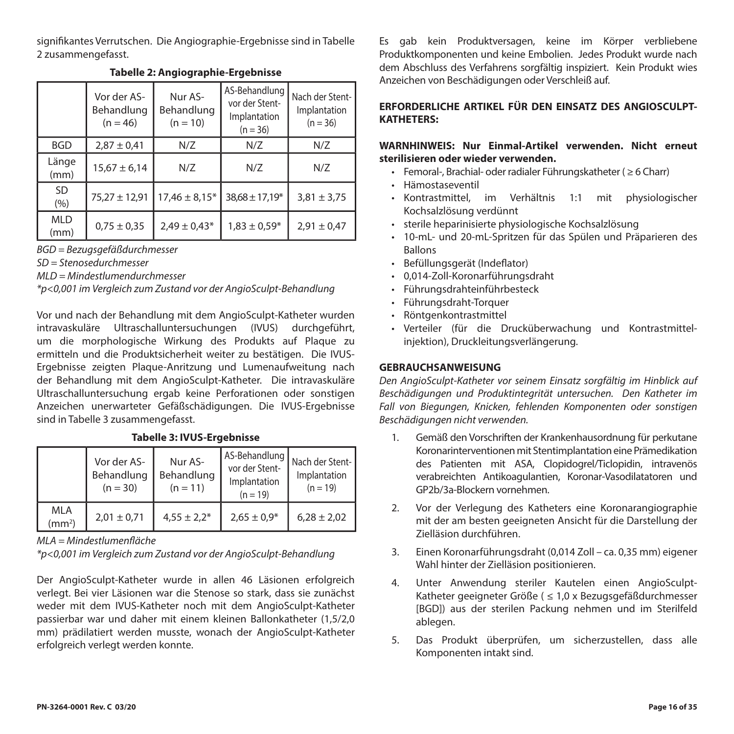signifikantes Verrutschen. Die Angiographie-Ergebnisse sind in Tabelle 2 zusammengefasst.

|                    | Vor der AS-<br>Behandlung<br>$(n = 46)$ | Nur AS-<br>Behandlung<br>$(n = 10)$ | AS-Behandlung<br>vor der Stent-<br>Implantation<br>$(n = 36)$ | Nach der Stent-<br>Implantation<br>$(n = 36)$ |
|--------------------|-----------------------------------------|-------------------------------------|---------------------------------------------------------------|-----------------------------------------------|
| <b>BGD</b>         | $2,87 \pm 0,41$                         | N/Z                                 | N/Z                                                           | N/Z                                           |
| Länge<br>(mm)      | $15,67 \pm 6,14$                        | N/Z                                 | N/Z                                                           | N/Z                                           |
| <b>SD</b><br>(% )  | $75,27 \pm 12,91$                       | $17,46 \pm 8,15*$                   | $38,68 \pm 17,19*$                                            | $3,81 \pm 3,75$                               |
| <b>MLD</b><br>(mm) | $0.75 \pm 0.35$                         | $2,49 \pm 0,43*$                    | $1,83 \pm 0.59*$                                              | $2,91 \pm 0,47$                               |

#### **Tabelle 2: Angiographie-Ergebnisse**

*BGD = Bezugsgefäßdurchmesser*

*SD = Stenosedurchmesser*

*MLD = Mindestlumendurchmesser*

*\*p<0,001 im Vergleich zum Zustand vor der AngioSculpt-Behandlung*

Vor und nach der Behandlung mit dem AngioSculpt-Katheter wurden intravaskuläre Ultraschalluntersuchungen (IVUS) durchgeführt, um die morphologische Wirkung des Produkts auf Plaque zu ermitteln und die Produktsicherheit weiter zu bestätigen. Die IVUS-Ergebnisse zeigten Plaque-Anritzung und Lumenaufweitung nach der Behandlung mit dem AngioSculpt-Katheter. Die intravaskuläre Ultraschalluntersuchung ergab keine Perforationen oder sonstigen Anzeichen unerwarteter Gefäßschädigungen. Die IVUS-Ergebnisse sind in Tabelle 3 zusammengefasst.

**Tabelle 3: IVUS-Ergebnisse**

|                            | Vor der AS-     | Nur AS-         | vor der Stent-  | 1 AS-Behandlung   Nach der Stent- |
|----------------------------|-----------------|-----------------|-----------------|-----------------------------------|
|                            | Behandlung      | Behandlung      | Implantation    | Implantation                      |
|                            | $(n = 30)$      | $(n = 11)$      | $(n = 19)$      | $(n = 19)$                        |
| <b>MLA</b><br>$\rm (mm^2)$ | $2,01 \pm 0,71$ | $4,55 \pm 2,2*$ | $2,65 \pm 0.9*$ | $6,28 \pm 2,02$                   |

*MLA = Mindestlumenfläche*

*\*p<0,001 im Vergleich zum Zustand vor der AngioSculpt-Behandlung*

Der AngioSculpt-Katheter wurde in allen 46 Läsionen erfolgreich verlegt. Bei vier Läsionen war die Stenose so stark, dass sie zunächst weder mit dem IVUS-Katheter noch mit dem AngioSculpt-Katheter passierbar war und daher mit einem kleinen Ballonkatheter (1,5/2,0 mm) prädilatiert werden musste, wonach der AngioSculpt-Katheter erfolgreich verlegt werden konnte.

Es gab kein Produktversagen, keine im Körper verbliebene Produktkomponenten und keine Embolien. Jedes Produkt wurde nach dem Abschluss des Verfahrens sorgfältig inspiziert. Kein Produkt wies Anzeichen von Beschädigungen oder Verschleiß auf.

#### **ERFORDERLICHE ARTIKEL FÜR DEN EINSATZ DES ANGIOSCULPT-KATHETERS:**

#### **WARNHINWEIS: Nur Einmal-Artikel verwenden. Nicht erneut sterilisieren oder wieder verwenden.**

- Femoral-, Brachial- oder radialer Führungskatheter ( ≥ 6 Charr)
- Hämostaseventil
- Kontrastmittel, im Verhältnis 1:1 mit physiologischer Kochsalzlösung verdünnt
- sterile heparinisierte physiologische Kochsalzlösung
- 10-mL- und 20-mL-Spritzen für das Spülen und Präparieren des Ballons
- Befüllungsgerät (Indeflator)
- 0,014-Zoll-Koronarführungsdraht
- Führungsdrahteinführbesteck
- Führungsdraht-Torquer
- Röntgenkontrastmittel
- Verteiler (für die Drucküberwachung und Kontrastmittelinjektion), Druckleitungsverlängerung.

#### **GEBRAUCHSANWEISUNG**

*Den AngioSculpt-Katheter vor seinem Einsatz sorgfältig im Hinblick auf Beschädigungen und Produktintegrität untersuchen. Den Katheter im Fall von Biegungen, Knicken, fehlenden Komponenten oder sonstigen Beschädigungen nicht verwenden.*

- 1. Gemäß den Vorschriften der Krankenhausordnung für perkutane Koronarinterventionen mit Stentimplantation eine Prämedikation des Patienten mit ASA, Clopidogrel/Ticlopidin, intravenös verabreichten Antikoagulantien, Koronar-Vasodilatatoren und GP2b/3a-Blockern vornehmen.
- 2. Vor der Verlegung des Katheters eine Koronarangiographie mit der am besten geeigneten Ansicht für die Darstellung der Zielläsion durchführen.
- 3. Einen Koronarführungsdraht (0,014 Zoll ca. 0,35 mm) eigener Wahl hinter der Zielläsion positionieren.
- 4. Unter Anwendung steriler Kautelen einen AngioSculpt-Katheter geeigneter Größe ( ≤ 1,0 x Bezugsgefäßdurchmesser [BGD]) aus der sterilen Packung nehmen und im Sterilfeld ablegen.
- 5. Das Produkt überprüfen, um sicherzustellen, dass alle Komponenten intakt sind.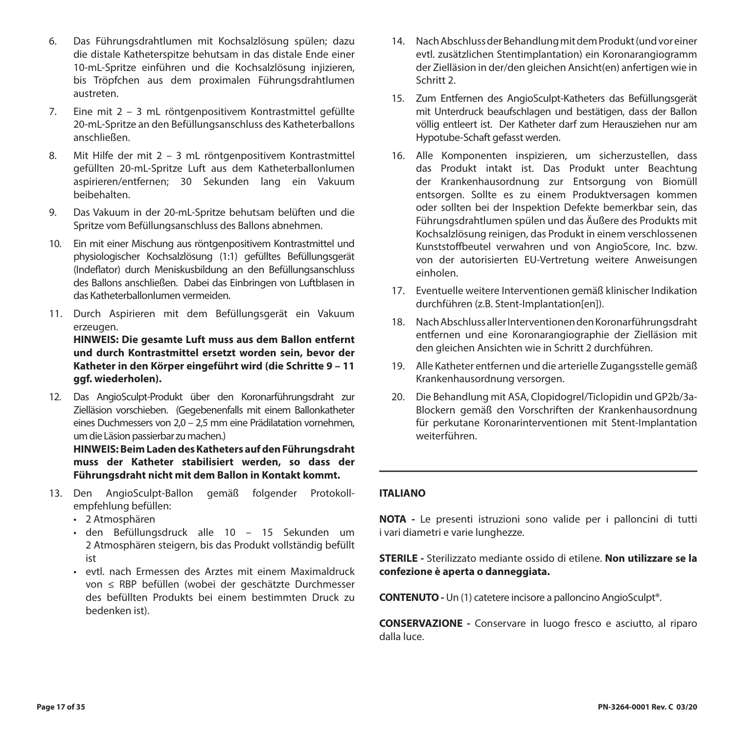- 6. Das Führungsdrahtlumen mit Kochsalzlösung spülen; dazu die distale Katheterspitze behutsam in das distale Ende einer 10-mL-Spritze einführen und die Kochsalzlösung injizieren, bis Tröpfchen aus dem proximalen Führungsdrahtlumen austreten.
- 7. Eine mit 2 3 mL röntgenpositivem Kontrastmittel gefüllte 20-mL-Spritze an den Befüllungsanschluss des Katheterballons anschließen.
- 8. Mit Hilfe der mit 2 3 mL röntgenpositivem Kontrastmittel gefüllten 20-mL-Spritze Luft aus dem Katheterballonlumen aspirieren/entfernen; 30 Sekunden lang ein Vakuum beibehalten.
- 9. Das Vakuum in der 20-mL-Spritze behutsam belüften und die Spritze vom Befüllungsanschluss des Ballons abnehmen.
- 10. Ein mit einer Mischung aus röntgenpositivem Kontrastmittel und physiologischer Kochsalzlösung (1:1) gefülltes Befüllungsgerät (Indeflator) durch Meniskusbildung an den Befüllungsanschluss des Ballons anschließen. Dabei das Einbringen von Luftblasen in das Katheterballonlumen vermeiden.
- 11. Durch Aspirieren mit dem Befüllungsgerät ein Vakuum erzeugen.

**HINWEIS: Die gesamte Luft muss aus dem Ballon entfernt und durch Kontrastmittel ersetzt worden sein, bevor der Katheter in den Körper eingeführt wird (die Schritte 9 – 11 ggf. wiederholen).**

12. Das AngioSculpt-Produkt über den Koronarführungsdraht zur Zielläsion vorschieben. (Gegebenenfalls mit einem Ballonkatheter eines Duchmessers von 2,0 – 2,5 mm eine Prädilatation vornehmen, um die Läsion passierbar zu machen.)

**HINWEIS: Beim Laden des Katheters auf den Führungsdraht muss der Katheter stabilisiert werden, so dass der Führungsdraht nicht mit dem Ballon in Kontakt kommt.**

- 13. Den AngioSculpt-Ballon gemäß folgender Protokollempfehlung befüllen:
	- 2 Atmosphären
	- den Befüllungsdruck alle 10 15 Sekunden um 2 Atmosphären steigern, bis das Produkt vollständig befüllt ist
	- evtl. nach Ermessen des Arztes mit einem Maximaldruck von ≤ RBP befüllen (wobei der geschätzte Durchmesser des befüllten Produkts bei einem bestimmten Druck zu bedenken ist).
- 14. Nach Abschluss der Behandlung mit dem Produkt (und vor einer evtl. zusätzlichen Stentimplantation) ein Koronarangiogramm der Zielläsion in der/den gleichen Ansicht(en) anfertigen wie in Schritt 2.
- 15. Zum Entfernen des AngioSculpt-Katheters das Befüllungsgerät mit Unterdruck beaufschlagen und bestätigen, dass der Ballon völlig entleert ist. Der Katheter darf zum Herausziehen nur am Hypotube-Schaft gefasst werden.
- 16. Alle Komponenten inspizieren, um sicherzustellen, dass das Produkt intakt ist. Das Produkt unter Beachtung der Krankenhausordnung zur Entsorgung von Biomüll entsorgen. Sollte es zu einem Produktversagen kommen oder sollten bei der Inspektion Defekte bemerkbar sein, das Führungsdrahtlumen spülen und das Äußere des Produkts mit Kochsalzlösung reinigen, das Produkt in einem verschlossenen Kunststoffbeutel verwahren und von AngioScore, Inc. bzw. von der autorisierten EU-Vertretung weitere Anweisungen einholen.
- 17. Eventuelle weitere Interventionen gemäß klinischer Indikation durchführen (z.B. Stent-Implantation[en]).
- 18. Nach Abschluss aller Interventionen den Koronarführungsdraht entfernen und eine Koronarangiographie der Zielläsion mit den gleichen Ansichten wie in Schritt 2 durchführen.
- 19. Alle Katheter entfernen und die arterielle Zugangsstelle gemäß Krankenhausordnung versorgen.
- 20. Die Behandlung mit ASA, Clopidogrel/Ticlopidin und GP2b/3a-Blockern gemäß den Vorschriften der Krankenhausordnung für perkutane Koronarinterventionen mit Stent-Implantation weiterführen.

#### **ITALIANO**

**NOTA -** Le presenti istruzioni sono valide per i palloncini di tutti i vari diametri e varie lunghezze.

**STERILE -** Sterilizzato mediante ossido di etilene. **Non utilizzare se la confezione è aperta o danneggiata.**

**CONTENUTO -** Un (1) catetere incisore a palloncino AngioSculpt®.

**CONSERVAZIONE -** Conservare in luogo fresco e asciutto, al riparo dalla luce.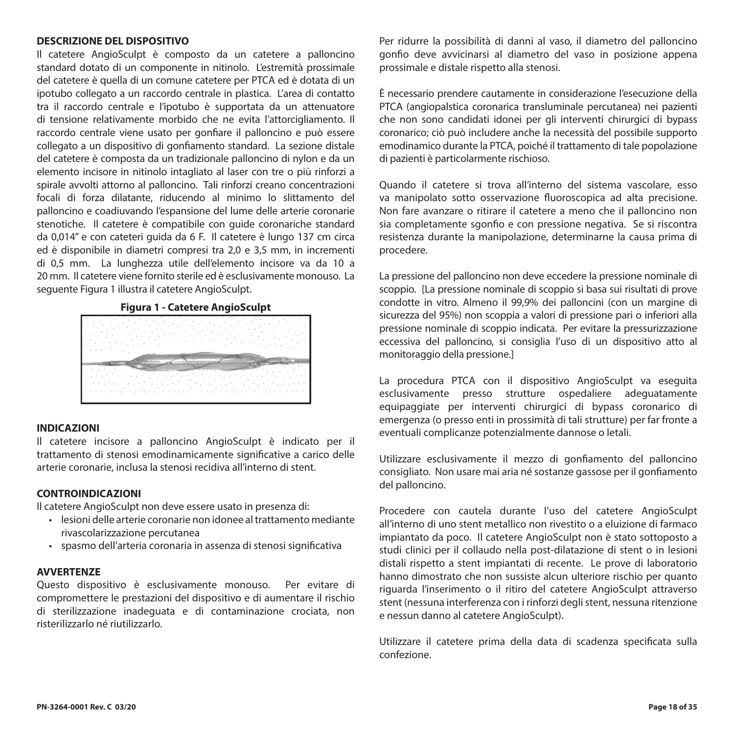#### **DESCRIZIONE DEL DISPOSITIVO**

Il catetere AngioSculpt è composto da un catetere a palloncino standard dotato di un componente in nitinolo. L'estremità prossimale del catetere è quella di un comune catetere per PTCA ed è dotata di un ipotubo collegato a un raccordo centrale in plastica. L'area di contatto tra il raccordo centrale e l'ipotubo è supportata da un attenuatore di tensione relativamente morbido che ne evita l'attorcigliamento. Il raccordo centrale viene usato per gonfiare il palloncino e può essere collegato a un dispositivo di gonfiamento standard. La sezione distale del catetere è composta da un tradizionale palloncino di nylon e da un elemento incisore in nitinolo intagliato al laser con tre o più rinforzi a spirale avvolti attorno al palloncino. Tali rinforzi creano concentrazioni focali di forza dilatante, riducendo al minimo lo slittamento del palloncino e coadiuvando l'espansione del lume delle arterie coronarie stenotiche. Il catetere è compatibile con guide coronariche standard da 0,014" e con cateteri guida da 6 F. Il catetere è lungo 137 cm circa ed è disponibile in diametri compresi tra 2,0 e 3,5 mm, in incrementi di 0,5 mm. La lunghezza utile dell'elemento incisore va da 10 a 20 mm. Il catetere viene fornito sterile ed è esclusivamente monouso. La seguente Figura 1 illustra il catetere AngioSculpt.



#### **INDICAZIONI**

Il catetere incisore a palloncino AngioSculpt è indicato per il trattamento di stenosi emodinamicamente significative a carico delle arterie coronarie, inclusa la stenosi recidiva all'interno di stent.

#### **CONTROINDICAZIONI**

Il catetere AngioSculpt non deve essere usato in presenza di:

- lesioni delle arterie coronarie non idonee al trattamento mediante rivascolarizzazione percutanea
- spasmo dell'arteria coronaria in assenza di stenosi significativa

#### **AVVERTENZE**

Questo dispositivo è esclusivamente monouso. Per evitare di compromettere le prestazioni del dispositivo e di aumentare il rischio di sterilizzazione inadeguata e di contaminazione crociata, non risterilizzarlo né riutilizzarlo.

Per ridurre la possibilità di danni al vaso, il diametro del palloncino gonfio deve avvicinarsi al diametro del vaso in posizione appena prossimale e distale rispetto alla stenosi.

È necessario prendere cautamente in considerazione l'esecuzione della PTCA (angiopalstica coronarica transluminale percutanea) nei pazienti che non sono candidati idonei per gli interventi chirurgici di bypass coronarico; ciò può includere anche la necessità del possibile supporto emodinamico durante la PTCA, poiché il trattamento di tale popolazione di pazienti è particolarmente rischioso.

Quando il catetere si trova all'interno del sistema vascolare, esso va manipolato sotto osservazione fluoroscopica ad alta precisione. Non fare avanzare o ritirare il catetere a meno che il palloncino non sia completamente sgonfio e con pressione negativa. Se si riscontra resistenza durante la manipolazione, determinarne la causa prima di procedere.

La pressione del palloncino non deve eccedere la pressione nominale di scoppio. [La pressione nominale di scoppio si basa sui risultati di prove condotte in vitro. Almeno il 99,9% dei palloncini (con un margine di sicurezza del 95%) non scoppia a valori di pressione pari o inferiori alla pressione nominale di scoppio indicata. Per evitare la pressurizzazione eccessiva del palloncino, si consiglia l'uso di un dispositivo atto al monitoraggio della pressione.]

La procedura PTCA con il dispositivo AngioSculpt va eseguita esclusivamente presso strutture ospedaliere adeguatamente equipaggiate per interventi chirurgici di bypass coronarico di emergenza (o presso enti in prossimità di tali strutture) per far fronte a eventuali complicanze potenzialmente dannose o letali.

Utilizzare esclusivamente il mezzo di gonfiamento del palloncino consigliato. Non usare mai aria né sostanze gassose per il gonfiamento del palloncino.

Procedere con cautela durante l'uso del catetere AngioSculpt all'interno di uno stent metallico non rivestito o a eluizione di farmaco impiantato da poco. Il catetere AngioSculpt non è stato sottoposto a studi clinici per il collaudo nella post-dilatazione di stent o in lesioni distali rispetto a stent impiantati di recente. Le prove di laboratorio hanno dimostrato che non sussiste alcun ulteriore rischio per quanto riguarda l'inserimento o il ritiro del catetere AngioSculpt attraverso stent (nessuna interferenza con i rinforzi degli stent, nessuna ritenzione e nessun danno al catetere AngioSculpt).

Utilizzare il catetere prima della data di scadenza specificata sulla confezione.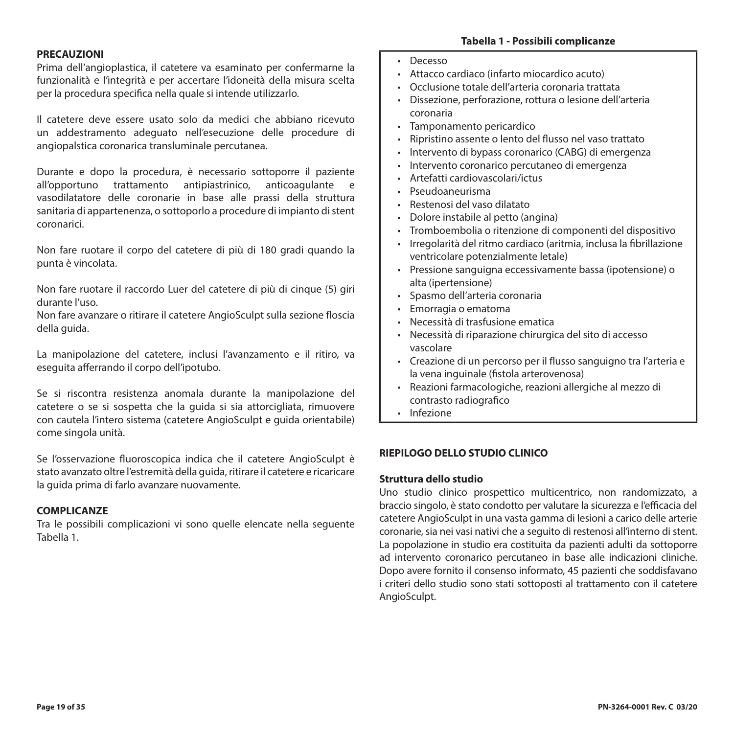#### **Tabella 1 - Possibili complicanze**

#### **PRECAUZIONI**

Prima dell'angioplastica, il catetere va esaminato per confermarne la funzionalità e l'integrità e per accertare l'idoneità della misura scelta per la procedura specifica nella quale si intende utilizzarlo.

Il catetere deve essere usato solo da medici che abbiano ricevuto un addestramento adeguato nell'esecuzione delle procedure di angiopalstica coronarica transluminale percutanea.

Durante e dopo la procedura, è necessario sottoporre il paziente all'opportuno trattamento antipiastrinico, anticoagulante e vasodilatatore delle coronarie in base alle prassi della struttura sanitaria di appartenenza, o sottoporlo a procedure di impianto di stent coronarici.

Non fare ruotare il corpo del catetere di più di 180 gradi quando la punta è vincolata.

Non fare ruotare il raccordo Luer del catetere di più di cinque (5) giri durante l'uso.

Non fare avanzare o ritirare il catetere AngioSculpt sulla sezione floscia della guida.

La manipolazione del catetere, inclusi l'avanzamento e il ritiro, va eseguita afferrando il corpo dell'ipotubo.

Se si riscontra resistenza anomala durante la manipolazione del catetere o se si sospetta che la guida si sia attorcigliata, rimuovere con cautela l'intero sistema (catetere AngioSculpt e guida orientabile) come singola unità.

Se l'osservazione fluoroscopica indica che il catetere AngioSculpt è stato avanzato oltre l'estremità della guida, ritirare il catetere e ricaricare la guida prima di farlo avanzare nuovamente.

#### **COMPLICANZE**

Tra le possibili complicazioni vi sono quelle elencate nella seguente Tabella 1.

- Decesso
- Attacco cardiaco (infarto miocardico acuto)
- Occlusione totale dell'arteria coronaria trattata
- Dissezione, perforazione, rottura o lesione dell'arteria coronaria
- Tamponamento pericardico
- Ripristino assente o lento del flusso nel vaso trattato
- Intervento di bypass coronarico (CABG) di emergenza
- Intervento coronarico percutaneo di emergenza
- Artefatti cardiovascolari/ictus
- Pseudoaneurisma
- Restenosi del vaso dilatato
- Dolore instabile al petto (angina)
- Tromboembolia o ritenzione di componenti del dispositivo
- Irregolarità del ritmo cardiaco (aritmia, inclusa la fibrillazione ventricolare potenzialmente letale)
- Pressione sanguigna eccessivamente bassa (ipotensione) o alta (ipertensione)
- Spasmo dell'arteria coronaria
- Emorragia o ematoma
- Necessità di trasfusione ematica
- Necessità di riparazione chirurgica del sito di accesso vascolare
- Creazione di un percorso per il flusso sanguigno tra l'arteria e la vena inguinale (fistola arterovenosa)
- Reazioni farmacologiche, reazioni allergiche al mezzo di contrasto radiografico
- Infezione

#### **RIEPILOGO DELLO STUDIO CLINICO**

#### **Struttura dello studio**

Uno studio clinico prospettico multicentrico, non randomizzato, a braccio singolo, è stato condotto per valutare la sicurezza e l'efficacia del catetere AngioSculpt in una vasta gamma di lesioni a carico delle arterie coronarie, sia nei vasi nativi che a seguito di restenosi all'interno di stent. La popolazione in studio era costituita da pazienti adulti da sottoporre ad intervento coronarico percutaneo in base alle indicazioni cliniche. Dopo avere fornito il consenso informato, 45 pazienti che soddisfavano i criteri dello studio sono stati sottoposti al trattamento con il catetere AngioSculpt.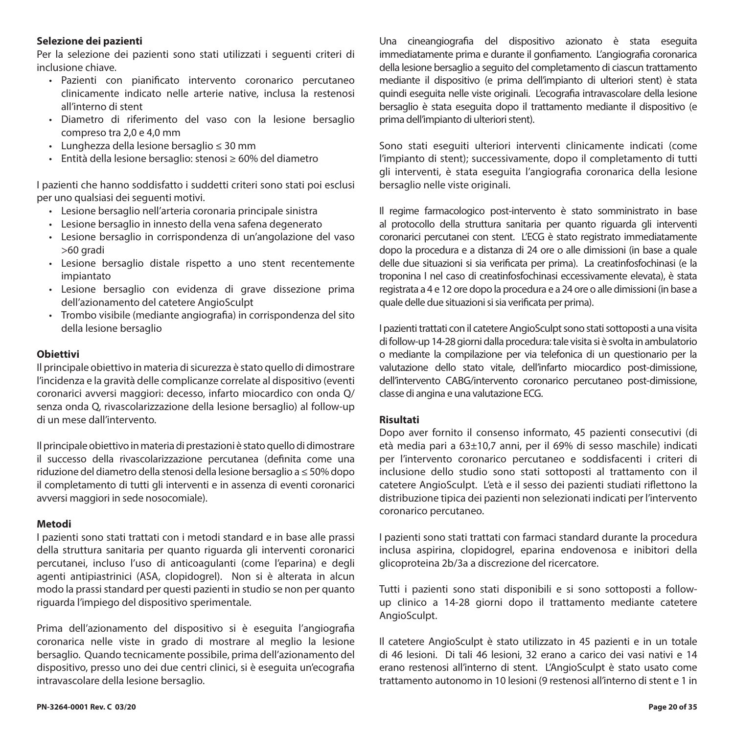#### **Selezione dei pazienti**

Per la selezione dei pazienti sono stati utilizzati i seguenti criteri di inclusione chiave.

- Pazienti con pianificato intervento coronarico percutaneo clinicamente indicato nelle arterie native, inclusa la restenosi all'interno di stent
- Diametro di riferimento del vaso con la lesione bersaglio compreso tra 2,0 e 4,0 mm
- Lunghezza della lesione bersaglio ≤ 30 mm
- Entità della lesione bersaglio: stenosi ≥ 60% del diametro

I pazienti che hanno soddisfatto i suddetti criteri sono stati poi esclusi per uno qualsiasi dei seguenti motivi.

- Lesione bersaglio nell'arteria coronaria principale sinistra
- Lesione bersaglio in innesto della vena safena degenerato
- Lesione bersaglio in corrispondenza di un'angolazione del vaso >60 gradi
- Lesione bersaglio distale rispetto a uno stent recentemente impiantato
- Lesione bersaglio con evidenza di grave dissezione prima dell'azionamento del catetere AngioSculpt
- Trombo visibile (mediante angiografia) in corrispondenza del sito della lesione bersaglio

#### **Obiettivi**

Il principale obiettivo in materia di sicurezza è stato quello di dimostrare l'incidenza e la gravità delle complicanze correlate al dispositivo (eventi coronarici avversi maggiori: decesso, infarto miocardico con onda Q/ senza onda Q, rivascolarizzazione della lesione bersaglio) al follow-up di un mese dall'intervento.

Il principale obiettivo in materia di prestazioni è stato quello di dimostrare il successo della rivascolarizzazione percutanea (definita come una riduzione del diametro della stenosi della lesione bersaglio a ≤ 50% dopo il completamento di tutti gli interventi e in assenza di eventi coronarici avversi maggiori in sede nosocomiale).

#### **Metodi**

I pazienti sono stati trattati con i metodi standard e in base alle prassi della struttura sanitaria per quanto riguarda gli interventi coronarici percutanei, incluso l'uso di anticoagulanti (come l'eparina) e degli agenti antipiastrinici (ASA, clopidogrel). Non si è alterata in alcun modo la prassi standard per questi pazienti in studio se non per quanto riguarda l'impiego del dispositivo sperimentale.

Prima dell'azionamento del dispositivo si è eseguita l'angiografia coronarica nelle viste in grado di mostrare al meglio la lesione bersaglio. Quando tecnicamente possibile, prima dell'azionamento del dispositivo, presso uno dei due centri clinici, si è eseguita un'ecografia intravascolare della lesione bersaglio.

Una cineangiografia del dispositivo azionato è stata eseguita immediatamente prima e durante il gonfiamento. L'angiografia coronarica della lesione bersaglio a seguito del completamento di ciascun trattamento mediante il dispositivo (e prima dell'impianto di ulteriori stent) è stata quindi eseguita nelle viste originali. L'ecografia intravascolare della lesione bersaglio è stata eseguita dopo il trattamento mediante il dispositivo (e prima dell'impianto di ulteriori stent).

Sono stati eseguiti ulteriori interventi clinicamente indicati (come l'impianto di stent); successivamente, dopo il completamento di tutti gli interventi, è stata eseguita l'angiografia coronarica della lesione bersaglio nelle viste originali.

Il regime farmacologico post-intervento è stato somministrato in base al protocollo della struttura sanitaria per quanto riguarda gli interventi coronarici percutanei con stent. L'ECG è stato registrato immediatamente dopo la procedura e a distanza di 24 ore o alle dimissioni (in base a quale delle due situazioni si sia verificata per prima). La creatinfosfochinasi (e la troponina I nel caso di creatinfosfochinasi eccessivamente elevata), è stata registrata a 4 e 12 ore dopo la procedura e a 24 ore o alle dimissioni (in base a quale delle due situazioni si sia verificata per prima).

I pazienti trattati con il catetere AngioSculpt sono stati sottoposti a una visita di follow-up 14-28 giorni dalla procedura: tale visita si è svolta in ambulatorio o mediante la compilazione per via telefonica di un questionario per la valutazione dello stato vitale, dell'infarto miocardico post-dimissione, dell'intervento CABG/intervento coronarico percutaneo post-dimissione, classe di angina e una valutazione ECG.

#### **Risultati**

Dopo aver fornito il consenso informato, 45 pazienti consecutivi (di età media pari a 63±10,7 anni, per il 69% di sesso maschile) indicati per l'intervento coronarico percutaneo e soddisfacenti i criteri di inclusione dello studio sono stati sottoposti al trattamento con il catetere AngioSculpt. L'età e il sesso dei pazienti studiati riflettono la distribuzione tipica dei pazienti non selezionati indicati per l'intervento coronarico percutaneo.

I pazienti sono stati trattati con farmaci standard durante la procedura inclusa aspirina, clopidogrel, eparina endovenosa e inibitori della glicoproteina 2b/3a a discrezione del ricercatore.

Tutti i pazienti sono stati disponibili e si sono sottoposti a followup clinico a 14-28 giorni dopo il trattamento mediante catetere AngioSculpt.

Il catetere AngioSculpt è stato utilizzato in 45 pazienti e in un totale di 46 lesioni. Di tali 46 lesioni, 32 erano a carico dei vasi nativi e 14 erano restenosi all'interno di stent. L'AngioSculpt è stato usato come trattamento autonomo in 10 lesioni (9 restenosi all'interno di stent e 1 in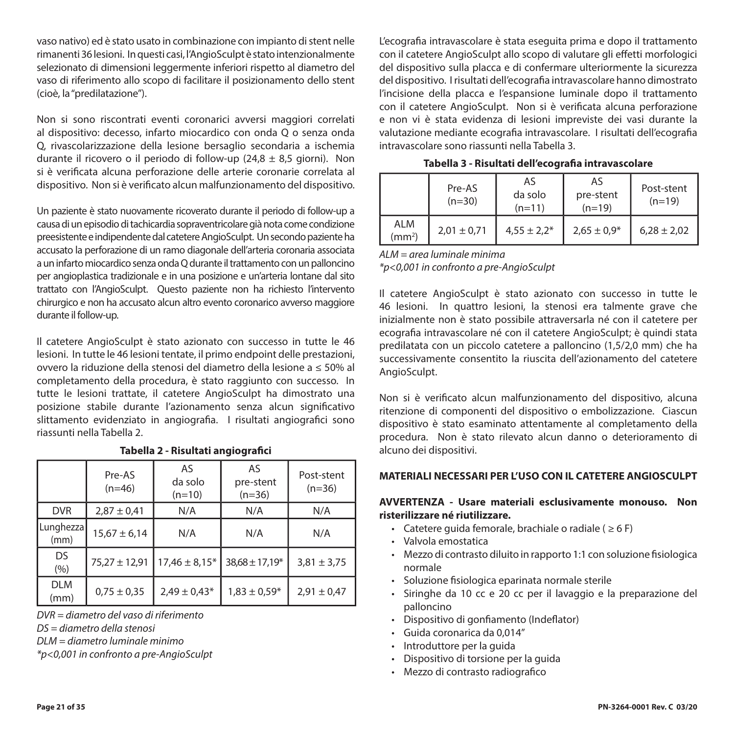vaso nativo) ed è stato usato in combinazione con impianto di stent nelle rimanenti 36 lesioni. In questi casi, l'AngioSculpt è stato intenzionalmente selezionato di dimensioni leggermente inferiori rispetto al diametro del vaso di riferimento allo scopo di facilitare il posizionamento dello stent (cioè, la "predilatazione").

Non si sono riscontrati eventi coronarici avversi maggiori correlati al dispositivo: decesso, infarto miocardico con onda Q o senza onda Q, rivascolarizzazione della lesione bersaglio secondaria a ischemia durante il ricovero o il periodo di follow-up (24,8  $\pm$  8,5 giorni). Non si è verificata alcuna perforazione delle arterie coronarie correlata al dispositivo. Non si è verificato alcun malfunzionamento del dispositivo.

Un paziente è stato nuovamente ricoverato durante il periodo di follow-up a causa di un episodio di tachicardia sopraventricolare già nota come condizione preesistente e indipendente dal catetere AngioSculpt. Un secondo paziente ha accusato la perforazione di un ramo diagonale dell'arteria coronaria associata a un infarto miocardico senza onda Q durante il trattamento con un palloncino per angioplastica tradizionale e in una posizione e un'arteria lontane dal sito trattato con l'AngioSculpt. Questo paziente non ha richiesto l'intervento chirurgico e non ha accusato alcun altro evento coronarico avverso maggiore durante il follow-up.

Il catetere AngioSculpt è stato azionato con successo in tutte le 46 lesioni. In tutte le 46 lesioni tentate, il primo endpoint delle prestazioni, ovvero la riduzione della stenosi del diametro della lesione a ≤ 50% al completamento della procedura, è stato raggiunto con successo. In tutte le lesioni trattate, il catetere AngioSculpt ha dimostrato una posizione stabile durante l'azionamento senza alcun significativo slittamento evidenziato in angiografia. I risultati angiografici sono riassunti nella Tabella 2.

|                    | Pre-AS<br>$(n=46)$ | AS<br>da solo<br>$(n=10)$ | AS<br>pre-stent<br>$(n=36)$ | Post-stent<br>$(n=36)$ |
|--------------------|--------------------|---------------------------|-----------------------------|------------------------|
| <b>DVR</b>         | $2,87 \pm 0,41$    | N/A                       | N/A                         | N/A                    |
| Lunghezza<br>(mm)  | $15,67 \pm 6,14$   | N/A                       | N/A                         | N/A                    |
| DS<br>(%)          | $75,27 \pm 12,91$  | $17,46 \pm 8,15*$         | $38,68 \pm 17,19*$          | $3,81 \pm 3,75$        |
| <b>DLM</b><br>(mm) | $0.75 \pm 0.35$    | $2,49 \pm 0,43*$          | $1,83 \pm 0.59*$            | $2,91 \pm 0,47$        |

#### **Tabella 2 - Risultati angiografici**

*DVR = diametro del vaso di riferimento*

*DS = diametro della stenosi*

*DLM = diametro luminale minimo*

*\*p<0,001 in confronto a pre-AngioSculpt*

L'ecografia intravascolare è stata eseguita prima e dopo il trattamento con il catetere AngioSculpt allo scopo di valutare gli effetti morfologici del dispositivo sulla placca e di confermare ulteriormente la sicurezza del dispositivo. I risultati dell'ecografia intravascolare hanno dimostrato l'incisione della placca e l'espansione luminale dopo il trattamento con il catetere AngioSculpt. Non si è verificata alcuna perforazione e non vi è stata evidenza di lesioni impreviste dei vasi durante la valutazione mediante ecografia intravascolare. I risultati dell'ecografia intravascolare sono riassunti nella Tabella 3.

|                                  | Pre-AS<br>$(n=30)$ | AS<br>da solo<br>$(n=11)$ | AS<br>pre-stent<br>$(n=19)$ | Post-stent<br>$(n=19)$ |
|----------------------------------|--------------------|---------------------------|-----------------------------|------------------------|
| <b>ALM</b><br>(mm <sup>2</sup> ) | $2,01 \pm 0,71$    | $4,55 \pm 2,2*$           | $2,65 \pm 0.9*$             | $6,28 \pm 2,02$        |

*ALM = area luminale minima \*p<0,001 in confronto a pre-AngioSculpt*

Il catetere AngioSculpt è stato azionato con successo in tutte le 46 lesioni. In quattro lesioni, la stenosi era talmente grave che inizialmente non è stato possibile attraversarla né con il catetere per ecografia intravascolare né con il catetere AngioSculpt; è quindi stata predilatata con un piccolo catetere a palloncino (1,5/2,0 mm) che ha successivamente consentito la riuscita dell'azionamento del catetere AngioSculpt.

Non si è verificato alcun malfunzionamento del dispositivo, alcuna ritenzione di componenti del dispositivo o embolizzazione. Ciascun dispositivo è stato esaminato attentamente al completamento della procedura. Non è stato rilevato alcun danno o deterioramento di alcuno dei dispositivi.

#### **MATERIALI NECESSARI PER L'USO CON IL CATETERE ANGIOSCULPT**

#### **AVVERTENZA - Usare materiali esclusivamente monouso. Non risterilizzare né riutilizzare.**

- Catetere quida femorale, brachiale o radiale ( $\geq 6$  F)
- Valvola emostatica
- Mezzo di contrasto diluito in rapporto 1:1 con soluzione fisiologica normale
- Soluzione fisiologica eparinata normale sterile
- Siringhe da 10 cc e 20 cc per il lavaggio e la preparazione del palloncino
- Dispositivo di gonfiamento (Indeflator)
- Guida coronarica da 0,014"
- Introduttore per la guida
- Dispositivo di torsione per la guida
- Mezzo di contrasto radiografico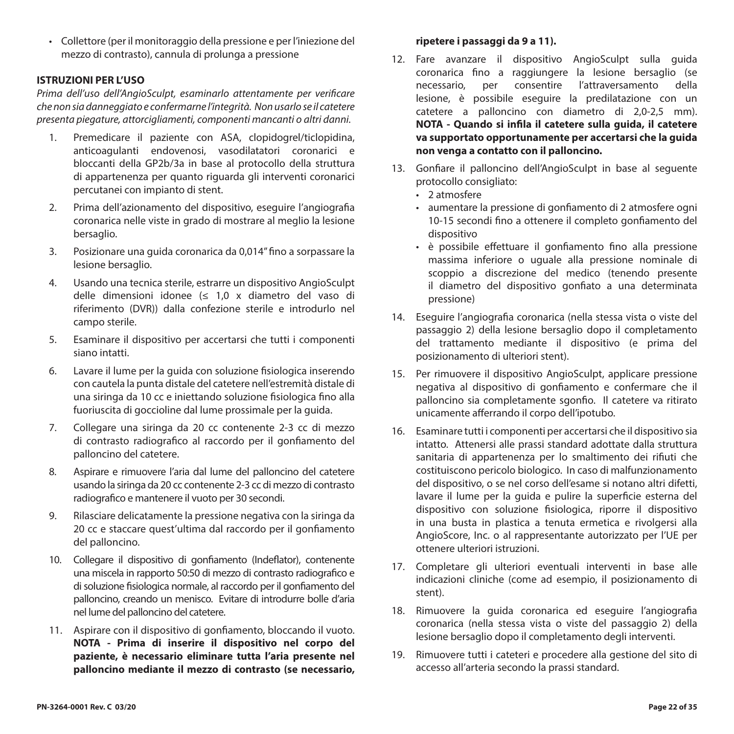• Collettore (per il monitoraggio della pressione e per l'iniezione del mezzo di contrasto), cannula di prolunga a pressione

#### **ISTRUZIONI PER L'USO**

*Prima dell'uso dell'AngioSculpt, esaminarlo attentamente per verificare che non sia danneggiato e confermarne l'integrità. Non usarlo se il catetere presenta piegature, attorcigliamenti, componenti mancanti o altri danni.*

- 1. Premedicare il paziente con ASA, clopidogrel/ticlopidina, anticoagulanti endovenosi, vasodilatatori coronarici e bloccanti della GP2b/3a in base al protocollo della struttura di appartenenza per quanto riguarda gli interventi coronarici percutanei con impianto di stent.
- 2. Prima dell'azionamento del dispositivo, eseguire l'angiografia coronarica nelle viste in grado di mostrare al meglio la lesione bersaglio.
- 3. Posizionare una guida coronarica da 0,014" fino a sorpassare la lesione bersaglio.
- 4. Usando una tecnica sterile, estrarre un dispositivo AngioSculpt delle dimensioni idonee (≤ 1,0 x diametro del vaso di riferimento (DVR)) dalla confezione sterile e introdurlo nel campo sterile.
- 5. Esaminare il dispositivo per accertarsi che tutti i componenti siano intatti.
- 6. Lavare il lume per la guida con soluzione fisiologica inserendo con cautela la punta distale del catetere nell'estremità distale di una siringa da 10 cc e iniettando soluzione fisiologica fino alla fuoriuscita di goccioline dal lume prossimale per la guida.
- 7. Collegare una siringa da 20 cc contenente 2-3 cc di mezzo di contrasto radiografico al raccordo per il gonfiamento del palloncino del catetere.
- 8. Aspirare e rimuovere l'aria dal lume del palloncino del catetere usando la siringa da 20 cc contenente 2-3 cc di mezzo di contrasto radiografico e mantenere il vuoto per 30 secondi.
- 9. Rilasciare delicatamente la pressione negativa con la siringa da 20 cc e staccare quest'ultima dal raccordo per il gonfiamento del palloncino.
- 10. Collegare il dispositivo di gonfiamento (Indeflator), contenente una miscela in rapporto 50:50 di mezzo di contrasto radiografico e di soluzione fisiologica normale, al raccordo per il gonfiamento del palloncino, creando un menisco. Evitare di introdurre bolle d'aria nel lume del palloncino del catetere.
- 11. Aspirare con il dispositivo di gonfiamento, bloccando il vuoto. **NOTA - Prima di inserire il dispositivo nel corpo del paziente, è necessario eliminare tutta l'aria presente nel palloncino mediante il mezzo di contrasto (se necessario,**

#### **ripetere i passaggi da 9 a 11).**

- 12. Fare avanzare il dispositivo AngioSculpt sulla guida coronarica fino a raggiungere la lesione bersaglio (se necessario, per consentire l'attraversamento della lesione, è possibile eseguire la predilatazione con un catetere a palloncino con diametro di 2,0-2,5 mm). **NOTA - Quando si infila il catetere sulla guida, il catetere va supportato opportunamente per accertarsi che la guida non venga a contatto con il palloncino.**
- 13. Gonfiare il palloncino dell'AngioSculpt in base al seguente protocollo consigliato:
	- 2 atmosfere
	- aumentare la pressione di gonfiamento di 2 atmosfere ogni 10-15 secondi fino a ottenere il completo gonfiamento del dispositivo
	- è possibile effettuare il gonfiamento fino alla pressione massima inferiore o uguale alla pressione nominale di scoppio a discrezione del medico (tenendo presente il diametro del dispositivo gonfiato a una determinata pressione)
- 14. Eseguire l'angiografia coronarica (nella stessa vista o viste del passaggio 2) della lesione bersaglio dopo il completamento del trattamento mediante il dispositivo (e prima del posizionamento di ulteriori stent).
- 15. Per rimuovere il dispositivo AngioSculpt, applicare pressione negativa al dispositivo di gonfiamento e confermare che il palloncino sia completamente sgonfio. Il catetere va ritirato unicamente afferrando il corpo dell'ipotubo.
- 16. Esaminare tutti i componenti per accertarsi che il dispositivo sia intatto. Attenersi alle prassi standard adottate dalla struttura sanitaria di appartenenza per lo smaltimento dei rifiuti che costituiscono pericolo biologico. In caso di malfunzionamento del dispositivo, o se nel corso dell'esame si notano altri difetti, lavare il lume per la guida e pulire la superficie esterna del dispositivo con soluzione fisiologica, riporre il dispositivo in una busta in plastica a tenuta ermetica e rivolgersi alla AngioScore, Inc. o al rappresentante autorizzato per l'UE per ottenere ulteriori istruzioni.
- 17. Completare gli ulteriori eventuali interventi in base alle indicazioni cliniche (come ad esempio, il posizionamento di stent).
- 18. Rimuovere la guida coronarica ed eseguire l'angiografia coronarica (nella stessa vista o viste del passaggio 2) della lesione bersaglio dopo il completamento degli interventi.
- 19. Rimuovere tutti i cateteri e procedere alla gestione del sito di accesso all'arteria secondo la prassi standard.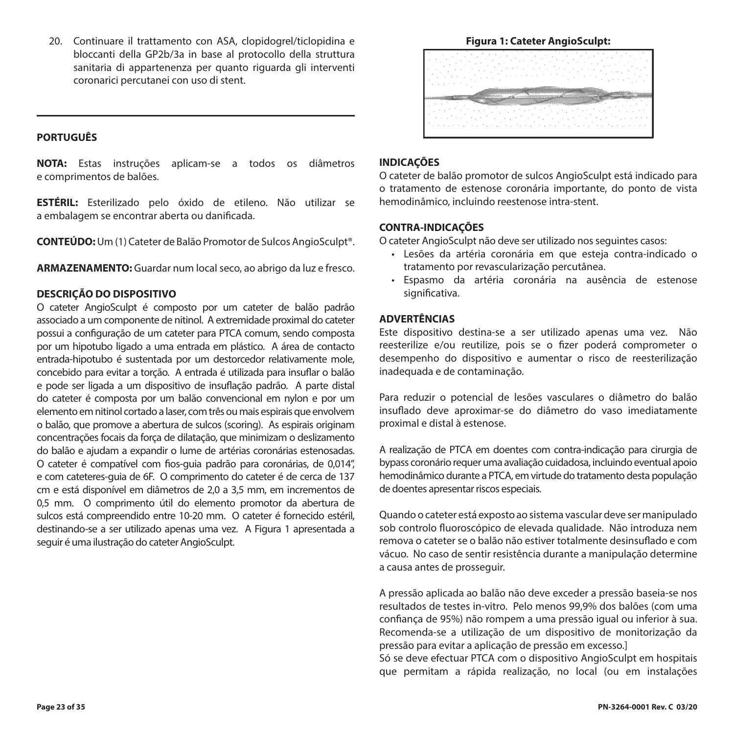20. Continuare il trattamento con ASA, clopidogrel/ticlopidina e bloccanti della GP2b/3a in base al protocollo della struttura sanitaria di appartenenza per quanto riguarda gli interventi coronarici percutanei con uso di stent.

#### **PORTUGUÊS**

**NOTA:** Estas instruções aplicam-se a todos os diâmetros e comprimentos de balões.

**ESTÉRIL:** Esterilizado pelo óxido de etileno. Não utilizar se a embalagem se encontrar aberta ou danificada.

**CONTEÚDO:** Um (1) Cateter de Balão Promotor de Sulcos AngioSculpt®.

**ARMAZENAMENTO:** Guardar num local seco, ao abrigo da luz e fresco.

#### **DESCRIÇÃO DO DISPOSITIVO**

O cateter AngioSculpt é composto por um cateter de balão padrão associado a um componente de nitinol. A extremidade proximal do cateter possui a configuração de um cateter para PTCA comum, sendo composta por um hipotubo ligado a uma entrada em plástico. A área de contacto entrada-hipotubo é sustentada por um destorcedor relativamente mole, concebido para evitar a torção. A entrada é utilizada para insuflar o balão e pode ser ligada a um dispositivo de insuflação padrão. A parte distal do cateter é composta por um balão convencional em nylon e por um elemento em nitinol cortado a laser, com três ou mais espirais que envolvem o balão, que promove a abertura de sulcos (scoring). As espirais originam concentrações focais da força de dilatação, que minimizam o deslizamento do balão e ajudam a expandir o lume de artérias coronárias estenosadas. O cateter é compatível com fios-guia padrão para coronárias, de 0,014", e com cateteres-guia de 6F. O comprimento do cateter é de cerca de 137 cm e está disponível em diâmetros de 2,0 a 3,5 mm, em incrementos de 0,5 mm. O comprimento útil do elemento promotor da abertura de sulcos está compreendido entre 10-20 mm. O cateter é fornecido estéril, destinando-se a ser utilizado apenas uma vez. A Figura 1 apresentada a seguir é uma ilustração do cateter AngioSculpt.

#### **Figura 1: Cateter AngioSculpt:**



#### **INDICAÇÕES**

O cateter de balão promotor de sulcos AngioSculpt está indicado para o tratamento de estenose coronária importante, do ponto de vista hemodinâmico, incluindo reestenose intra-stent.

#### **CONTRA-INDICAÇÕES**

O cateter AngioSculpt não deve ser utilizado nos seguintes casos:

- Lesões da artéria coronária em que esteja contra-indicado o tratamento por revascularização percutânea.
- Espasmo da artéria coronária na ausência de estenose significativa.

#### **ADVERTÊNCIAS**

Este dispositivo destina-se a ser utilizado apenas uma vez. Não reesterilize e/ou reutilize, pois se o fizer poderá comprometer o desempenho do dispositivo e aumentar o risco de reesterilização inadequada e de contaminação.

Para reduzir o potencial de lesões vasculares o diâmetro do balão insuflado deve aproximar-se do diâmetro do vaso imediatamente proximal e distal à estenose.

A realização de PTCA em doentes com contra-indicação para cirurgia de bypass coronário requer uma avaliação cuidadosa, incluindo eventual apoio hemodinâmico durante a PTCA, em virtude do tratamento desta população de doentes apresentar riscos especiais.

Quando o cateter está exposto ao sistema vascular deve ser manipulado sob controlo fluoroscópico de elevada qualidade. Não introduza nem remova o cateter se o balão não estiver totalmente desinsuflado e com vácuo. No caso de sentir resistência durante a manipulação determine a causa antes de prosseguir.

A pressão aplicada ao balão não deve exceder a pressão baseia-se nos resultados de testes in-vitro. Pelo menos 99,9% dos balões (com uma confiança de 95%) não rompem a uma pressão igual ou inferior à sua. Recomenda-se a utilização de um dispositivo de monitorização da pressão para evitar a aplicação de pressão em excesso.]

Só se deve efectuar PTCA com o dispositivo AngioSculpt em hospitais que permitam a rápida realização, no local (ou em instalações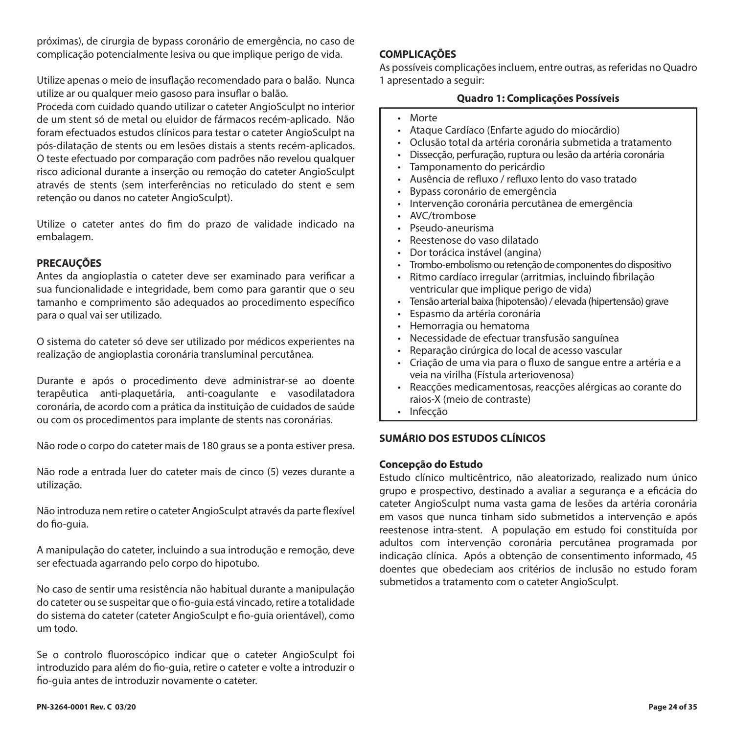próximas), de cirurgia de bypass coronário de emergência, no caso de complicação potencialmente lesiva ou que implique perigo de vida.

Utilize apenas o meio de insuflação recomendado para o balão. Nunca utilize ar ou qualquer meio gasoso para insuflar o balão.

Proceda com cuidado quando utilizar o cateter AngioSculpt no interior de um stent só de metal ou eluidor de fármacos recém-aplicado. Não foram efectuados estudos clínicos para testar o cateter AngioSculpt na pós-dilatação de stents ou em lesões distais a stents recém-aplicados. O teste efectuado por comparação com padrões não revelou qualquer risco adicional durante a inserção ou remoção do cateter AngioSculpt através de stents (sem interferências no reticulado do stent e sem retenção ou danos no cateter AngioSculpt).

Utilize o cateter antes do fim do prazo de validade indicado na embalagem.

#### **PRECAUÇÕES**

Antes da angioplastia o cateter deve ser examinado para verificar a sua funcionalidade e integridade, bem como para garantir que o seu tamanho e comprimento são adequados ao procedimento específico para o qual vai ser utilizado.

O sistema do cateter só deve ser utilizado por médicos experientes na realização de angioplastia coronária transluminal percutânea.

Durante e após o procedimento deve administrar-se ao doente terapêutica anti-plaquetária, anti-coagulante e vasodilatadora coronária, de acordo com a prática da instituição de cuidados de saúde ou com os procedimentos para implante de stents nas coronárias.

Não rode o corpo do cateter mais de 180 graus se a ponta estiver presa.

Não rode a entrada luer do cateter mais de cinco (5) vezes durante a utilização.

Não introduza nem retire o cateter AngioSculpt através da parte flexível do fio-guia.

A manipulação do cateter, incluindo a sua introdução e remoção, deve ser efectuada agarrando pelo corpo do hipotubo.

No caso de sentir uma resistência não habitual durante a manipulação do cateter ou se suspeitar que o fio-guia está vincado, retire a totalidade do sistema do cateter (cateter AngioSculpt e fio-guia orientável), como um todo.

Se o controlo fluoroscópico indicar que o cateter AngioSculpt foi introduzido para além do fio-guia, retire o cateter e volte a introduzir o fio-guia antes de introduzir novamente o cateter.

#### **COMPLICAÇÕES**

As possíveis complicações incluem, entre outras, as referidas no Quadro 1 apresentado a seguir:

#### **Quadro 1: Complicações Possíveis**

- Morte
- Ataque Cardíaco (Enfarte agudo do miocárdio)
- Oclusão total da artéria coronária submetida a tratamento
- Dissecção, perfuração, ruptura ou lesão da artéria coronária
- Tamponamento do pericárdio
- Ausência de refluxo / refluxo lento do vaso tratado
- Bypass coronário de emergência
- Intervenção coronária percutânea de emergência
- AVC/trombose
- Pseudo-aneurisma
- Reestenose do vaso dilatado
- Dor torácica instável (angina)
- Trombo-embolismo ou retenção de componentes do dispositivo
- Ritmo cardíaco irregular (arritmias, incluindo fibrilação ventricular que implique perigo de vida)
- Tensão arterial baixa (hipotensão) / elevada (hipertensão) grave
- Espasmo da artéria coronária
- Hemorragia ou hematoma
- Necessidade de efectuar transfusão sanguínea
- Reparação cirúrgica do local de acesso vascular
- Criação de uma via para o fluxo de sangue entre a artéria e a veia na virilha (Fístula arteriovenosa)
- Reacções medicamentosas, reacções alérgicas ao corante do raios-X (meio de contraste)
- Infecção

#### **SUMÁRIO DOS ESTUDOS CLÍNICOS**

#### **Concepção do Estudo**

Estudo clínico multicêntrico, não aleatorizado, realizado num único grupo e prospectivo, destinado a avaliar a segurança e a eficácia do cateter AngioSculpt numa vasta gama de lesões da artéria coronária em vasos que nunca tinham sido submetidos a intervenção e após reestenose intra-stent. A população em estudo foi constituída por adultos com intervenção coronária percutânea programada por indicação clínica. Após a obtenção de consentimento informado, 45 doentes que obedeciam aos critérios de inclusão no estudo foram submetidos a tratamento com o cateter AngioSculpt.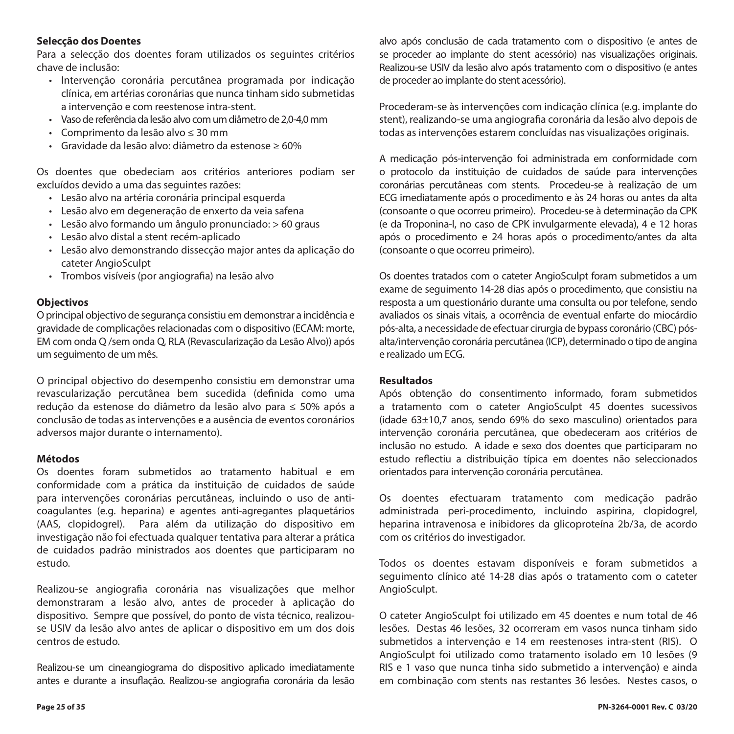#### **Selecção dos Doentes**

Para a selecção dos doentes foram utilizados os seguintes critérios chave de inclusão:

- Intervenção coronária percutânea programada por indicação clínica, em artérias coronárias que nunca tinham sido submetidas a intervenção e com reestenose intra-stent.
- Vaso de referência da lesão alvo com um diâmetro de 2,0-4,0 mm
- Comprimento da lesão alvo ≤ 30 mm
- Gravidade da lesão alvo: diâmetro da estenose ≥ 60%

Os doentes que obedeciam aos critérios anteriores podiam ser excluídos devido a uma das seguintes razões:

- Lesão alvo na artéria coronária principal esquerda
- Lesão alvo em degeneração de enxerto da veia safena
- Lesão alvo formando um ângulo pronunciado: > 60 graus
- Lesão alvo distal a stent recém-aplicado
- Lesão alvo demonstrando dissecção major antes da aplicação do cateter AngioSculpt
- Trombos visíveis (por angiografia) na lesão alvo

#### **Objectivos**

O principal objectivo de segurança consistiu em demonstrar a incidência e gravidade de complicações relacionadas com o dispositivo (ECAM: morte, EM com onda Q /sem onda Q, RLA (Revascularização da Lesão Alvo)) após um seguimento de um mês.

O principal objectivo do desempenho consistiu em demonstrar uma revascularização percutânea bem sucedida (definida como uma redução da estenose do diâmetro da lesão alvo para ≤ 50% após a conclusão de todas as intervenções e a ausência de eventos coronários adversos major durante o internamento).

#### **Métodos**

Os doentes foram submetidos ao tratamento habitual e em conformidade com a prática da instituição de cuidados de saúde para intervenções coronárias percutâneas, incluindo o uso de anticoagulantes (e.g. heparina) e agentes anti-agregantes plaquetários (AAS, clopidogrel). Para além da utilização do dispositivo em investigação não foi efectuada qualquer tentativa para alterar a prática de cuidados padrão ministrados aos doentes que participaram no estudo.

Realizou-se angiografia coronária nas visualizações que melhor demonstraram a lesão alvo, antes de proceder à aplicação do dispositivo. Sempre que possível, do ponto de vista técnico, realizouse USIV da lesão alvo antes de aplicar o dispositivo em um dos dois centros de estudo.

Realizou-se um cineangiograma do dispositivo aplicado imediatamente antes e durante a insuflação. Realizou-se angiografia coronária da lesão alvo após conclusão de cada tratamento com o dispositivo (e antes de se proceder ao implante do stent acessório) nas visualizações originais. Realizou-se USIV da lesão alvo após tratamento com o dispositivo (e antes de proceder ao implante do stent acessório).

Procederam-se às intervenções com indicação clínica (e.g. implante do stent), realizando-se uma angiografia coronária da lesão alvo depois de todas as intervenções estarem concluídas nas visualizações originais.

A medicação pós-intervenção foi administrada em conformidade com o protocolo da instituição de cuidados de saúde para intervenções coronárias percutâneas com stents. Procedeu-se à realização de um ECG imediatamente após o procedimento e às 24 horas ou antes da alta (consoante o que ocorreu primeiro). Procedeu-se à determinação da CPK (e da Troponina-I, no caso de CPK invulgarmente elevada), 4 e 12 horas após o procedimento e 24 horas após o procedimento/antes da alta (consoante o que ocorreu primeiro).

Os doentes tratados com o cateter AngioSculpt foram submetidos a um exame de seguimento 14-28 dias após o procedimento, que consistiu na resposta a um questionário durante uma consulta ou por telefone, sendo avaliados os sinais vitais, a ocorrência de eventual enfarte do miocárdio pós-alta, a necessidade de efectuar cirurgia de bypass coronário (CBC) pósalta/intervenção coronária percutânea (ICP), determinado o tipo de angina e realizado um ECG.

#### **Resultados**

Após obtenção do consentimento informado, foram submetidos a tratamento com o cateter AngioSculpt 45 doentes sucessivos (idade 63±10,7 anos, sendo 69% do sexo masculino) orientados para intervenção coronária percutânea, que obedeceram aos critérios de inclusão no estudo. A idade e sexo dos doentes que participaram no estudo reflectiu a distribuição típica em doentes não seleccionados orientados para intervenção coronária percutânea.

Os doentes efectuaram tratamento com medicação padrão administrada peri-procedimento, incluindo aspirina, clopidogrel, heparina intravenosa e inibidores da glicoproteína 2b/3a, de acordo com os critérios do investigador.

Todos os doentes estavam disponíveis e foram submetidos a seguimento clínico até 14-28 dias após o tratamento com o cateter AngioSculpt.

O cateter AngioSculpt foi utilizado em 45 doentes e num total de 46 lesões. Destas 46 lesões, 32 ocorreram em vasos nunca tinham sido submetidos a intervenção e 14 em reestenoses intra-stent (RIS). O AngioSculpt foi utilizado como tratamento isolado em 10 lesões (9 RIS e 1 vaso que nunca tinha sido submetido a intervenção) e ainda em combinação com stents nas restantes 36 lesões. Nestes casos, o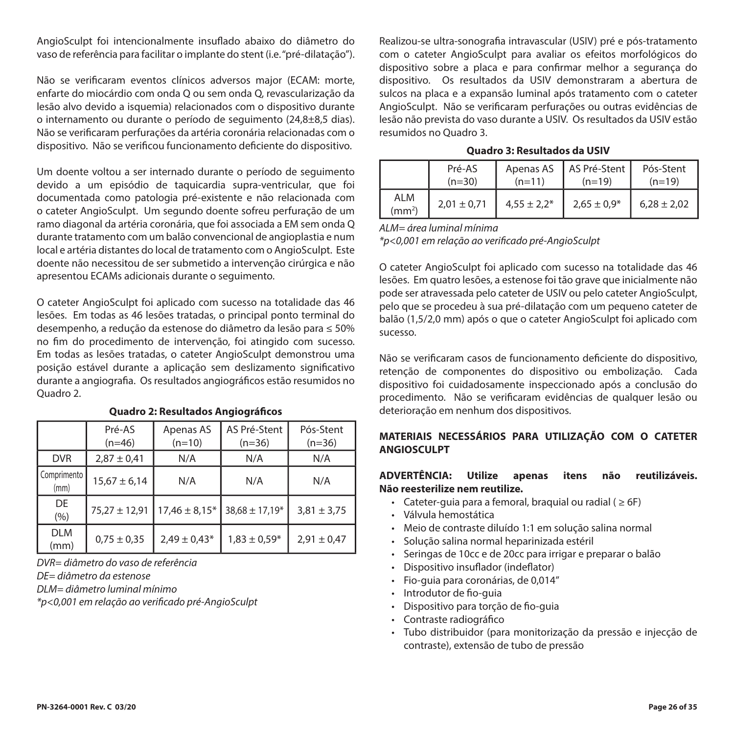AngioSculpt foi intencionalmente insuflado abaixo do diâmetro do vaso de referência para facilitar o implante do stent (i.e. "pré-dilatação").

Não se verificaram eventos clínicos adversos major (ECAM: morte, enfarte do miocárdio com onda Q ou sem onda Q, revascularização da lesão alvo devido a isquemia) relacionados com o dispositivo durante o internamento ou durante o período de seguimento (24,8±8,5 dias). Não se verificaram perfurações da artéria coronária relacionadas com o dispositivo. Não se verificou funcionamento deficiente do dispositivo.

Um doente voltou a ser internado durante o período de seguimento devido a um episódio de taquicardia supra-ventricular, que foi documentada como patologia pré-existente e não relacionada com o cateter AngioSculpt. Um segundo doente sofreu perfuração de um ramo diagonal da artéria coronária, que foi associada a EM sem onda Q durante tratamento com um balão convencional de angioplastia e num local e artéria distantes do local de tratamento com o AngioSculpt. Este doente não necessitou de ser submetido a intervenção cirúrgica e não apresentou ECAMs adicionais durante o seguimento.

O cateter AngioSculpt foi aplicado com sucesso na totalidade das 46 lesões. Em todas as 46 lesões tratadas, o principal ponto terminal do desempenho, a redução da estenose do diâmetro da lesão para ≤ 50% no fim do procedimento de intervenção, foi atingido com sucesso. Em todas as lesões tratadas, o cateter AngioSculpt demonstrou uma posição estável durante a aplicação sem deslizamento significativo durante a angiografia. Os resultados angiográficos estão resumidos no Quadro 2.

|                     | Pré-AS<br>$(n=46)$ | Apenas AS<br>$(n=10)$ | AS Pré-Stent<br>$(n=36)$ | Pós-Stent<br>$(n=36)$ |
|---------------------|--------------------|-----------------------|--------------------------|-----------------------|
| <b>DVR</b>          | $2,87 \pm 0,41$    | N/A                   | N/A                      | N/A                   |
| Comprimento<br>(mm) | $15,67 \pm 6,14$   | N/A                   | N/A                      | N/A                   |
| DE<br>(%)           | $75,27 \pm 12,91$  | $17,46 \pm 8,15*$     | $38,68 \pm 17,19*$       | $3,81 \pm 3,75$       |
| <b>DLM</b><br>(mm)  | $0.75 \pm 0.35$    | $2,49 \pm 0,43*$      | $1,83 \pm 0.59*$         | $2,91 \pm 0,47$       |

**Quadro 2: Resultados Angiográficos**

*DVR= diâmetro do vaso de referência*

*DE= diâmetro da estenose*

*DLM= diâmetro luminal mínimo*

*\*p<0,001 em relação ao verificado pré-AngioSculpt*

Realizou-se ultra-sonografia intravascular (USIV) pré e pós-tratamento com o cateter AngioSculpt para avaliar os efeitos morfológicos do dispositivo sobre a placa e para confirmar melhor a segurança do dispositivo. Os resultados da USIV demonstraram a abertura de sulcos na placa e a expansão luminal após tratamento com o cateter AngioSculpt. Não se verificaram perfurações ou outras evidências de lesão não prevista do vaso durante a USIV. Os resultados da USIV estão resumidos no Quadro 3.

|  |  | Quadro 3: Resultados da USIV |  |  |
|--|--|------------------------------|--|--|
|--|--|------------------------------|--|--|

|                           | Pré-AS          | Apenas AS        | AS Pré-Stent    | Pós-Stent       |
|---------------------------|-----------------|------------------|-----------------|-----------------|
|                           | $(n=30)$        | $(n=11)$         | $(n=19)$        | $(n=19)$        |
| <b>ALM</b><br>$\rm (mm2)$ | $2,01 \pm 0,71$ | $4,55 \pm 2,2^*$ | $2,65 \pm 0.9*$ | $6,28 \pm 2,02$ |

*ALM= área luminal mínima*

*\*p<0,001 em relação ao verificado pré-AngioSculpt*

O cateter AngioSculpt foi aplicado com sucesso na totalidade das 46 lesões. Em quatro lesões, a estenose foi tão grave que inicialmente não pode ser atravessada pelo cateter de USIV ou pelo cateter AngioSculpt, pelo que se procedeu à sua pré-dilatação com um pequeno cateter de balão (1,5/2,0 mm) após o que o cateter AngioSculpt foi aplicado com sucesso.

Não se verificaram casos de funcionamento deficiente do dispositivo, retenção de componentes do dispositivo ou embolização. Cada dispositivo foi cuidadosamente inspeccionado após a conclusão do procedimento. Não se verificaram evidências de qualquer lesão ou deterioração em nenhum dos dispositivos.

#### **MATERIAIS NECESSÁRIOS PARA UTILIZAÇÃO COM O CATETER ANGIOSCULPT**

#### **ADVERTÊNCIA: Utilize apenas itens não reutilizáveis. Não reesterilize nem reutilize.**

- Cateter-guia para a femoral, braquial ou radial ( $\geq 6$ F)
- Válvula hemostática
- Meio de contraste diluído 1:1 em solução salina normal
- Solução salina normal heparinizada estéril
- Seringas de 10cc e de 20cc para irrigar e preparar o balão
- Dispositivo insuflador (indeflator)
- Fio-guia para coronárias, de 0,014"
- Introdutor de fio-guia
- Dispositivo para torção de fio-guia
- Contraste radiográfico
- Tubo distribuidor (para monitorização da pressão e injecção de contraste), extensão de tubo de pressão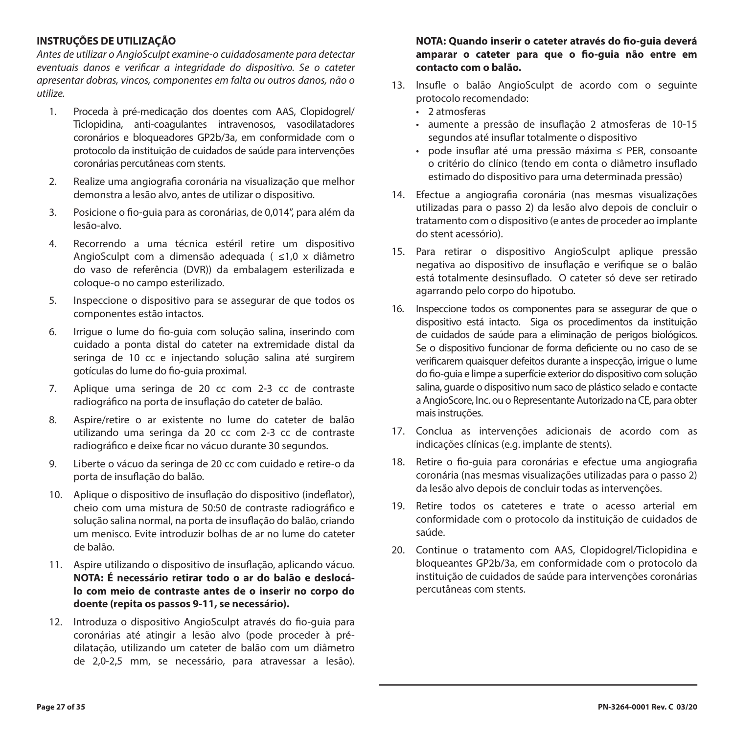#### **INSTRUÇÕES DE UTILIZAÇÃO**

*Antes de utilizar o AngioSculpt examine-o cuidadosamente para detectar eventuais danos e verificar a integridade do dispositivo. Se o cateter apresentar dobras, vincos, componentes em falta ou outros danos, não o utilize.*

- 1. Proceda à pré-medicação dos doentes com AAS, Clopidogrel/ Ticlopidina, anti-coagulantes intravenosos, vasodilatadores coronários e bloqueadores GP2b/3a, em conformidade com o protocolo da instituição de cuidados de saúde para intervenções coronárias percutâneas com stents.
- 2. Realize uma angiografia coronária na visualização que melhor demonstra a lesão alvo, antes de utilizar o dispositivo.
- 3. Posicione o fio-guia para as coronárias, de 0,014", para além da lesão-alvo.
- 4. Recorrendo a uma técnica estéril retire um dispositivo AngioSculpt com a dimensão adequada ( ≤1,0 x diâmetro do vaso de referência (DVR)) da embalagem esterilizada e coloque-o no campo esterilizado.
- 5. Inspeccione o dispositivo para se assegurar de que todos os componentes estão intactos.
- 6. Irrigue o lume do fio-guia com solução salina, inserindo com cuidado a ponta distal do cateter na extremidade distal da seringa de 10 cc e injectando solução salina até surgirem gotículas do lume do fio-guia proximal.
- 7. Aplique uma seringa de 20 cc com 2-3 cc de contraste radiográfico na porta de insuflação do cateter de balão.
- 8. Aspire/retire o ar existente no lume do cateter de balão utilizando uma seringa da 20 cc com 2-3 cc de contraste radiográfico e deixe ficar no vácuo durante 30 segundos.
- 9. Liberte o vácuo da seringa de 20 cc com cuidado e retire-o da porta de insuflação do balão.
- 10. Aplique o dispositivo de insuflação do dispositivo (indeflator), cheio com uma mistura de 50:50 de contraste radiográfico e solução salina normal, na porta de insuflação do balão, criando um menisco. Evite introduzir bolhas de ar no lume do cateter de balão.
- 11. Aspire utilizando o dispositivo de insuflação, aplicando vácuo. **NOTA: É necessário retirar todo o ar do balão e deslocálo com meio de contraste antes de o inserir no corpo do doente (repita os passos 9-11, se necessário).**
- 12. Introduza o dispositivo AngioSculpt através do fio-guia para coronárias até atingir a lesão alvo (pode proceder à prédilatação, utilizando um cateter de balão com um diâmetro de 2,0-2,5 mm, se necessário, para atravessar a lesão).

#### **NOTA: Quando inserir o cateter através do fio-guia deverá amparar o cateter para que o fio-guia não entre em contacto com o balão.**

- 13. Insufle o balão AngioSculpt de acordo com o seguinte protocolo recomendado:
	- 2 atmosferas
	- aumente a pressão de insuflação 2 atmosferas de 10-15 segundos até insuflar totalmente o dispositivo
	- pode insuflar até uma pressão máxima ≤ PER, consoante o critério do clínico (tendo em conta o diâmetro insuflado estimado do dispositivo para uma determinada pressão)
- 14. Efectue a angiografia coronária (nas mesmas visualizações utilizadas para o passo 2) da lesão alvo depois de concluir o tratamento com o dispositivo (e antes de proceder ao implante do stent acessório).
- 15. Para retirar o dispositivo AngioSculpt aplique pressão negativa ao dispositivo de insuflação e verifique se o balão está totalmente desinsuflado. O cateter só deve ser retirado agarrando pelo corpo do hipotubo.
- 16. Inspeccione todos os componentes para se assegurar de que o dispositivo está intacto. Siga os procedimentos da instituição de cuidados de saúde para a eliminação de perigos biológicos. Se o dispositivo funcionar de forma deficiente ou no caso de se verificarem quaisquer defeitos durante a inspecção, irrigue o lume do fio-guia e limpe a superfície exterior do dispositivo com solução salina, guarde o dispositivo num saco de plástico selado e contacte a AngioScore, Inc. ou o Representante Autorizado na CE, para obter mais instruções.
- 17. Conclua as intervenções adicionais de acordo com as indicações clínicas (e.g. implante de stents).
- 18. Retire o fio-guia para coronárias e efectue uma angiografia coronária (nas mesmas visualizações utilizadas para o passo 2) da lesão alvo depois de concluir todas as intervenções.
- 19. Retire todos os cateteres e trate o acesso arterial em conformidade com o protocolo da instituição de cuidados de saúde.
- 20. Continue o tratamento com AAS, Clopidogrel/Ticlopidina e bloqueantes GP2b/3a, em conformidade com o protocolo da instituição de cuidados de saúde para intervenções coronárias percutâneas com stents.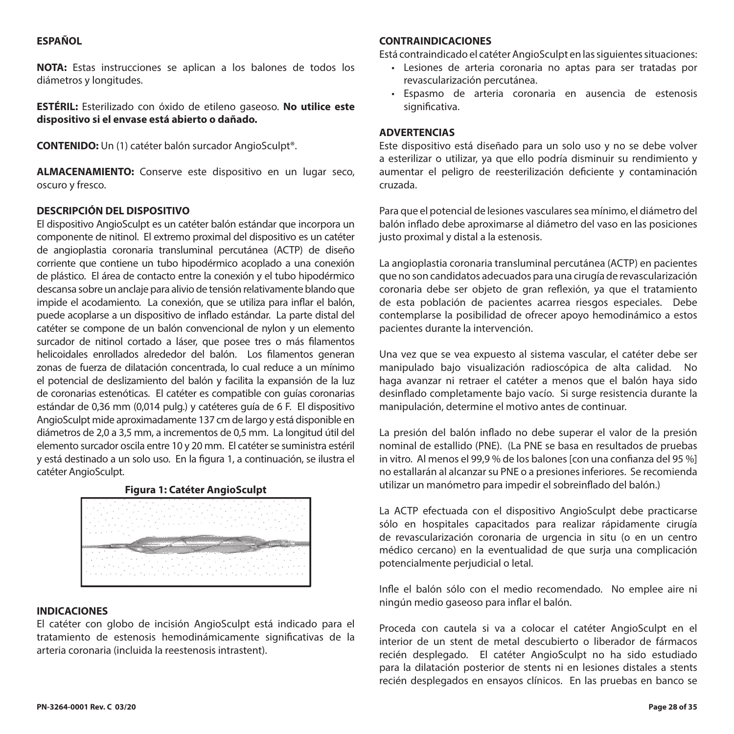#### **ESPAÑOL**

**NOTA:** Estas instrucciones se aplican a los balones de todos los diámetros y longitudes.

**ESTÉRIL:** Esterilizado con óxido de etileno gaseoso. **No utilice este dispositivo si el envase está abierto o dañado.**

**CONTENIDO:** Un (1) catéter balón surcador AngioSculpt®.

**ALMACENAMIENTO:** Conserve este dispositivo en un lugar seco, oscuro y fresco.

#### **DESCRIPCIÓN DEL DISPOSITIVO**

El dispositivo AngioSculpt es un catéter balón estándar que incorpora un componente de nitinol. El extremo proximal del dispositivo es un catéter de angioplastia coronaria transluminal percutánea (ACTP) de diseño corriente que contiene un tubo hipodérmico acoplado a una conexión de plástico. El área de contacto entre la conexión y el tubo hipodérmico descansa sobre un anclaje para alivio de tensión relativamente blando que impide el acodamiento. La conexión, que se utiliza para inflar el balón, puede acoplarse a un dispositivo de inflado estándar. La parte distal del catéter se compone de un balón convencional de nylon y un elemento surcador de nitinol cortado a láser, que posee tres o más filamentos helicoidales enrollados alrededor del balón. Los filamentos generan zonas de fuerza de dilatación concentrada, lo cual reduce a un mínimo el potencial de deslizamiento del balón y facilita la expansión de la luz de coronarias estenóticas. El catéter es compatible con guías coronarias estándar de 0,36 mm (0,014 pulg.) y catéteres guía de 6 F. El dispositivo AngioSculpt mide aproximadamente 137 cm de largo y está disponible en diámetros de 2,0 a 3,5 mm, a incrementos de 0,5 mm. La longitud útil del elemento surcador oscila entre 10 y 20 mm. El catéter se suministra estéril y está destinado a un solo uso. En la figura 1, a continuación, se ilustra el catéter AngioSculpt.





#### **INDICACIONES**

El catéter con globo de incisión AngioSculpt está indicado para el tratamiento de estenosis hemodinámicamente significativas de la arteria coronaria (incluida la reestenosis intrastent).

#### **CONTRAINDICACIONES**

Está contraindicado el catéter AngioSculpt en las siguientes situaciones:

- Lesiones de arteria coronaria no aptas para ser tratadas por revascularización percutánea.
- Espasmo de arteria coronaria en ausencia de estenosis significativa.

#### **ADVERTENCIAS**

Este dispositivo está diseñado para un solo uso y no se debe volver a esterilizar o utilizar, ya que ello podría disminuir su rendimiento y aumentar el peligro de reesterilización deficiente y contaminación cruzada.

Para que el potencial de lesiones vasculares sea mínimo, el diámetro del balón inflado debe aproximarse al diámetro del vaso en las posiciones justo proximal y distal a la estenosis.

La angioplastia coronaria transluminal percutánea (ACTP) en pacientes que no son candidatos adecuados para una cirugía de revascularización coronaria debe ser objeto de gran reflexión, ya que el tratamiento de esta población de pacientes acarrea riesgos especiales. Debe contemplarse la posibilidad de ofrecer apoyo hemodinámico a estos pacientes durante la intervención.

Una vez que se vea expuesto al sistema vascular, el catéter debe ser manipulado bajo visualización radioscópica de alta calidad. No haga avanzar ni retraer el catéter a menos que el balón haya sido desinflado completamente bajo vacío. Si surge resistencia durante la manipulación, determine el motivo antes de continuar.

La presión del balón inflado no debe superar el valor de la presión nominal de estallido (PNE). (La PNE se basa en resultados de pruebas in vitro. Al menos el 99,9 % de los balones [con una confianza del 95 %] no estallarán al alcanzar su PNE o a presiones inferiores. Se recomienda utilizar un manómetro para impedir el sobreinflado del balón.)

La ACTP efectuada con el dispositivo AngioSculpt debe practicarse sólo en hospitales capacitados para realizar rápidamente cirugía de revascularización coronaria de urgencia in situ (o en un centro médico cercano) en la eventualidad de que surja una complicación potencialmente perjudicial o letal.

Infle el balón sólo con el medio recomendado. No emplee aire ni ningún medio gaseoso para inflar el balón.

Proceda con cautela si va a colocar el catéter AngioSculpt en el interior de un stent de metal descubierto o liberador de fármacos recién desplegado. El catéter AngioSculpt no ha sido estudiado para la dilatación posterior de stents ni en lesiones distales a stents recién desplegados en ensayos clínicos. En las pruebas en banco se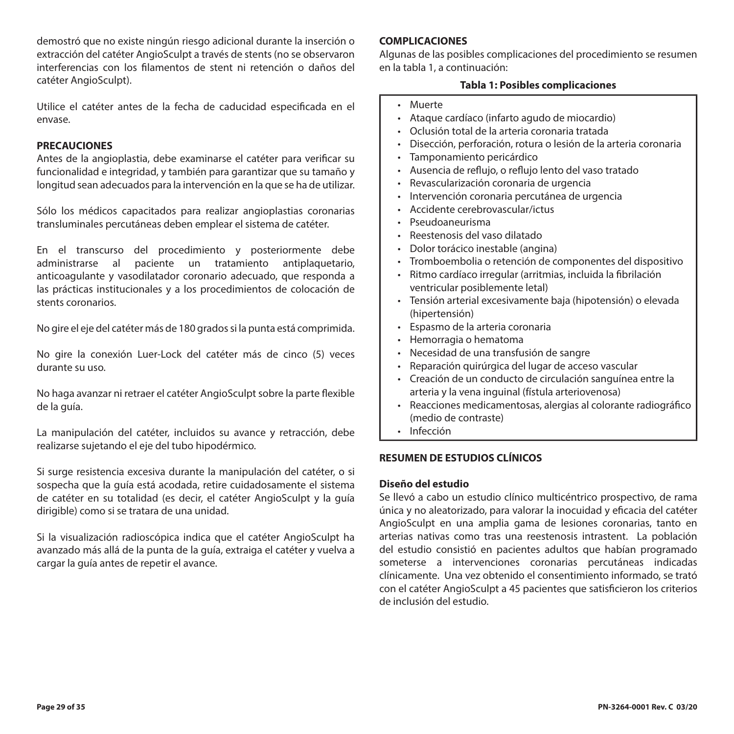demostró que no existe ningún riesgo adicional durante la inserción o extracción del catéter AngioSculpt a través de stents (no se observaron interferencias con los filamentos de stent ni retención o daños del catéter AngioSculpt).

Utilice el catéter antes de la fecha de caducidad especificada en el envase.

#### **PRECAUCIONES**

Antes de la angioplastia, debe examinarse el catéter para verificar su funcionalidad e integridad, y también para garantizar que su tamaño y longitud sean adecuados para la intervención en la que se ha de utilizar.

Sólo los médicos capacitados para realizar angioplastias coronarias transluminales percutáneas deben emplear el sistema de catéter.

En el transcurso del procedimiento y posteriormente debe administrarse al paciente un tratamiento antiplaquetario, anticoagulante y vasodilatador coronario adecuado, que responda a las prácticas institucionales y a los procedimientos de colocación de stents coronarios.

No gire el eje del catéter más de 180 grados si la punta está comprimida.

No gire la conexión Luer-Lock del catéter más de cinco (5) veces durante su uso.

No haga avanzar ni retraer el catéter AngioSculpt sobre la parte flexible de la guía.

La manipulación del catéter, incluidos su avance y retracción, debe realizarse sujetando el eje del tubo hipodérmico.

Si surge resistencia excesiva durante la manipulación del catéter, o si sospecha que la guía está acodada, retire cuidadosamente el sistema de catéter en su totalidad (es decir, el catéter AngioSculpt y la guía dirigible) como si se tratara de una unidad.

Si la visualización radioscópica indica que el catéter AngioSculpt ha avanzado más allá de la punta de la guía, extraiga el catéter y vuelva a cargar la guía antes de repetir el avance.

#### **COMPLICACIONES**

Algunas de las posibles complicaciones del procedimiento se resumen en la tabla 1, a continuación:

#### **Tabla 1: Posibles complicaciones**

- Muerte
- Ataque cardíaco (infarto agudo de miocardio)
- Oclusión total de la arteria coronaria tratada
- Disección, perforación, rotura o lesión de la arteria coronaria
- Tamponamiento pericárdico
- Ausencia de reflujo, o reflujo lento del vaso tratado
- Revascularización coronaria de urgencia
- Intervención coronaria percutánea de urgencia
- Accidente cerebrovascular/ictus
- Pseudoaneurisma
- Reestenosis del vaso dilatado
- Dolor torácico inestable (angina)
- Tromboembolia o retención de componentes del dispositivo
- Ritmo cardíaco irregular (arritmias, incluida la fibrilación ventricular posiblemente letal)
- Tensión arterial excesivamente baja (hipotensión) o elevada (hipertensión)
- Espasmo de la arteria coronaria
- Hemorragia o hematoma
- Necesidad de una transfusión de sangre
- Reparación quirúrgica del lugar de acceso vascular
- Creación de un conducto de circulación sanguínea entre la arteria y la vena inguinal (fístula arteriovenosa)
- Reacciones medicamentosas, alergias al colorante radiográfico (medio de contraste)
- Infección

#### **RESUMEN DE ESTUDIOS CLÍNICOS**

#### **Diseño del estudio**

Se llevó a cabo un estudio clínico multicéntrico prospectivo, de rama única y no aleatorizado, para valorar la inocuidad y eficacia del catéter AngioSculpt en una amplia gama de lesiones coronarias, tanto en arterias nativas como tras una reestenosis intrastent. La población del estudio consistió en pacientes adultos que habían programado someterse a intervenciones coronarias percutáneas indicadas clínicamente. Una vez obtenido el consentimiento informado, se trató con el catéter AngioSculpt a 45 pacientes que satisficieron los criterios de inclusión del estudio.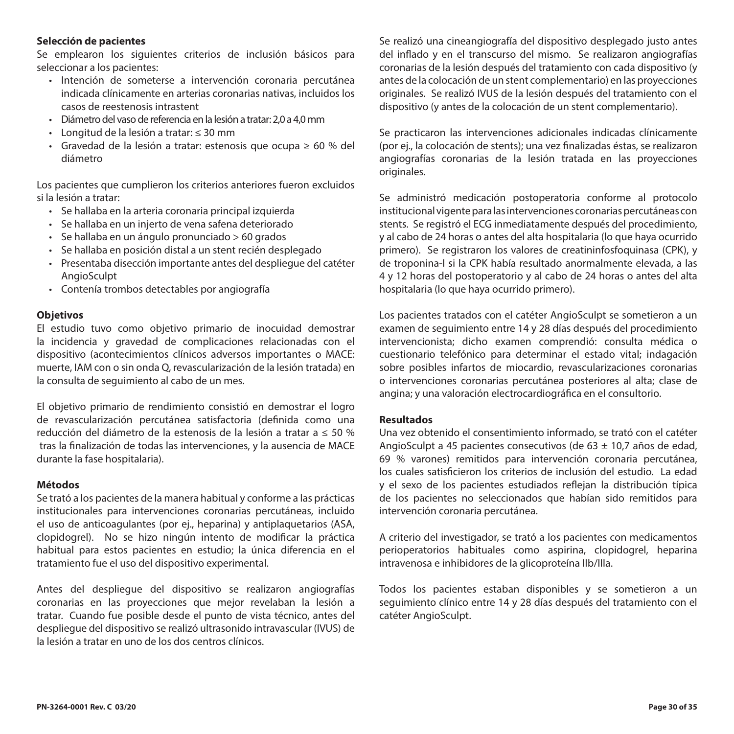#### **Selección de pacientes**

Se emplearon los siguientes criterios de inclusión básicos para seleccionar a los pacientes:

- Intención de someterse a intervención coronaria percutánea indicada clínicamente en arterias coronarias nativas, incluidos los casos de reestenosis intrastent
- Diámetro del vaso de referencia en la lesión a tratar: 2,0 a 4,0 mm
- Longitud de la lesión a tratar: ≤ 30 mm
- Gravedad de la lesión a tratar: estenosis que ocupa ≥ 60 % del diámetro

Los pacientes que cumplieron los criterios anteriores fueron excluidos si la lesión a tratar:

- Se hallaba en la arteria coronaria principal izquierda
- Se hallaba en un injerto de vena safena deteriorado
- Se hallaba en un ángulo pronunciado > 60 grados
- Se hallaba en posición distal a un stent recién desplegado
- Presentaba disección importante antes del despliegue del catéter **AngioSculpt**
- Contenía trombos detectables por angiografía

#### **Objetivos**

El estudio tuvo como objetivo primario de inocuidad demostrar la incidencia y gravedad de complicaciones relacionadas con el dispositivo (acontecimientos clínicos adversos importantes o MACE: muerte, IAM con o sin onda Q, revascularización de la lesión tratada) en la consulta de seguimiento al cabo de un mes.

El objetivo primario de rendimiento consistió en demostrar el logro de revascularización percutánea satisfactoria (definida como una reducción del diámetro de la estenosis de la lesión a tratar a ≤ 50 % tras la finalización de todas las intervenciones, y la ausencia de MACE durante la fase hospitalaria).

#### **Métodos**

Se trató a los pacientes de la manera habitual y conforme a las prácticas institucionales para intervenciones coronarias percutáneas, incluido el uso de anticoagulantes (por ej., heparina) y antiplaquetarios (ASA, clopidogrel). No se hizo ningún intento de modificar la práctica habitual para estos pacientes en estudio; la única diferencia en el tratamiento fue el uso del dispositivo experimental.

Antes del despliegue del dispositivo se realizaron angiografías coronarias en las proyecciones que mejor revelaban la lesión a tratar. Cuando fue posible desde el punto de vista técnico, antes del despliegue del dispositivo se realizó ultrasonido intravascular (IVUS) de la lesión a tratar en uno de los dos centros clínicos.

Se realizó una cineangiografía del dispositivo desplegado justo antes del inflado y en el transcurso del mismo. Se realizaron angiografías coronarias de la lesión después del tratamiento con cada dispositivo (y antes de la colocación de un stent complementario) en las proyecciones originales. Se realizó IVUS de la lesión después del tratamiento con el dispositivo (y antes de la colocación de un stent complementario).

Se practicaron las intervenciones adicionales indicadas clínicamente (por ej., la colocación de stents); una vez finalizadas éstas, se realizaron angiografías coronarias de la lesión tratada en las proyecciones originales.

Se administró medicación postoperatoria conforme al protocolo institucional vigente para las intervenciones coronarias percutáneas con stents. Se registró el ECG inmediatamente después del procedimiento, y al cabo de 24 horas o antes del alta hospitalaria (lo que haya ocurrido primero). Se registraron los valores de creatininfosfoquinasa (CPK), y de troponina-I si la CPK había resultado anormalmente elevada, a las 4 y 12 horas del postoperatorio y al cabo de 24 horas o antes del alta hospitalaria (lo que haya ocurrido primero).

Los pacientes tratados con el catéter AngioSculpt se sometieron a un examen de seguimiento entre 14 y 28 días después del procedimiento intervencionista; dicho examen comprendió: consulta médica o cuestionario telefónico para determinar el estado vital; indagación sobre posibles infartos de miocardio, revascularizaciones coronarias o intervenciones coronarias percutánea posteriores al alta; clase de angina; y una valoración electrocardiográfica en el consultorio.

#### **Resultados**

Una vez obtenido el consentimiento informado, se trató con el catéter AngioSculpt a 45 pacientes consecutivos (de  $63 \pm 10.7$  años de edad, 69 % varones) remitidos para intervención coronaria percutánea, los cuales satisficieron los criterios de inclusión del estudio. La edad y el sexo de los pacientes estudiados reflejan la distribución típica de los pacientes no seleccionados que habían sido remitidos para intervención coronaria percutánea.

A criterio del investigador, se trató a los pacientes con medicamentos perioperatorios habituales como aspirina, clopidogrel, heparina intravenosa e inhibidores de la glicoproteína IIb/IIIa.

Todos los pacientes estaban disponibles y se sometieron a un seguimiento clínico entre 14 y 28 días después del tratamiento con el catéter AngioSculpt.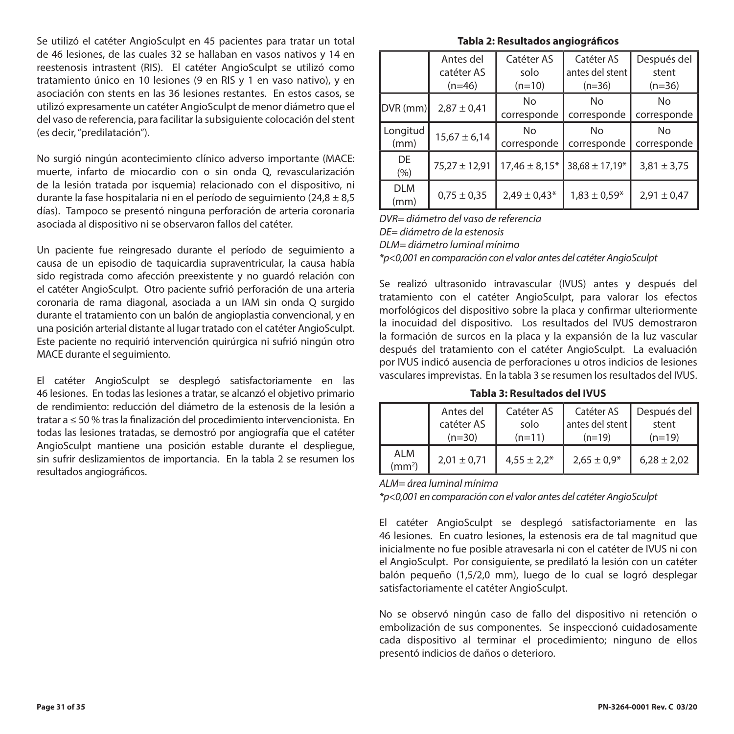Se utilizó el catéter AngioSculpt en 45 pacientes para tratar un total de 46 lesiones, de las cuales 32 se hallaban en vasos nativos y 14 en reestenosis intrastent (RIS). El catéter AngioSculpt se utilizó como tratamiento único en 10 lesiones (9 en RIS y 1 en vaso nativo), y en asociación con stents en las 36 lesiones restantes. En estos casos, se utilizó expresamente un catéter AngioSculpt de menor diámetro que el del vaso de referencia, para facilitar la subsiguiente colocación del stent (es decir, "predilatación").

No surgió ningún acontecimiento clínico adverso importante (MACE: muerte, infarto de miocardio con o sin onda Q, revascularización de la lesión tratada por isquemia) relacionado con el dispositivo, ni durante la fase hospitalaria ni en el período de seguimiento (24,8  $\pm$  8,5 días). Tampoco se presentó ninguna perforación de arteria coronaria asociada al dispositivo ni se observaron fallos del catéter.

Un paciente fue reingresado durante el período de seguimiento a causa de un episodio de taquicardia supraventricular, la causa había sido registrada como afección preexistente y no guardó relación con el catéter AngioSculpt. Otro paciente sufrió perforación de una arteria coronaria de rama diagonal, asociada a un IAM sin onda Q surgido durante el tratamiento con un balón de angioplastia convencional, y en una posición arterial distante al lugar tratado con el catéter AngioSculpt. Este paciente no requirió intervención quirúrgica ni sufrió ningún otro MACE durante el seguimiento.

El catéter AngioSculpt se desplegó satisfactoriamente en las 46 lesiones. En todas las lesiones a tratar, se alcanzó el objetivo primario de rendimiento: reducción del diámetro de la estenosis de la lesión a tratar a ≤ 50 % tras la finalización del procedimiento intervencionista. En todas las lesiones tratadas, se demostró por angiografía que el catéter AngioSculpt mantiene una posición estable durante el despliegue, sin sufrir deslizamientos de importancia. En la tabla 2 se resumen los resultados angiográficos.

#### **Tabla 2: Resultados angiográficos**

|                    | Antes del<br>catéter AS<br>$(n=46)$ | Catéter AS<br>solo<br>$(n=10)$ | Catéter AS<br>antes del stent<br>$(n=36)$ | Después del<br>stent<br>$(n=36)$ |
|--------------------|-------------------------------------|--------------------------------|-------------------------------------------|----------------------------------|
| DVR (mm)           | $2,87 \pm 0,41$                     | No<br>corresponde              | No<br>corresponde                         | No<br>corresponde                |
| Longitud<br>(mm)   | $15,67 \pm 6,14$                    | No<br>corresponde              | No<br>corresponde                         | No<br>corresponde                |
| DE<br>(% )         | $75,27 \pm 12,91$                   | $17,46 \pm 8,15*$              | $38,68 \pm 17,19*$                        | $3,81 \pm 3,75$                  |
| <b>DLM</b><br>(mm) | $0.75 \pm 0.35$                     | $2,49 \pm 0,43*$               | $1,83 \pm 0.59*$                          | $2,91 \pm 0,47$                  |

*DVR= diámetro del vaso de referencia*

*DE= diámetro de la estenosis*

*DLM= diámetro luminal mínimo*

*\*p<0,001 en comparación con el valor antes del catéter AngioSculpt*

Se realizó ultrasonido intravascular (IVUS) antes y después del tratamiento con el catéter AngioSculpt, para valorar los efectos morfológicos del dispositivo sobre la placa y confirmar ulteriormente la inocuidad del dispositivo. Los resultados del IVUS demostraron la formación de surcos en la placa y la expansión de la luz vascular después del tratamiento con el catéter AngioSculpt. La evaluación por IVUS indicó ausencia de perforaciones u otros indicios de lesiones vasculares imprevistas. En la tabla 3 se resumen los resultados del IVUS.

**Tabla 3: Resultados del IVUS**

|                            | Antes del       | Catéter AS      | Catéter AS                 | Después del     |
|----------------------------|-----------------|-----------------|----------------------------|-----------------|
|                            | catéter AS      | solo            | <b>l</b> antes del stent l | stent           |
|                            | $(n=30)$        | $(n=11)$        | $(n=19)$                   | $(n=19)$        |
| <b>ALM</b><br>$\rm (mm^2)$ | $2,01 \pm 0,71$ | $4,55 \pm 2,2*$ | $2,65 \pm 0.9*$            | $6,28 \pm 2,02$ |

*ALM= área luminal mínima*

*\*p<0,001 en comparación con el valor antes del catéter AngioSculpt*

El catéter AngioSculpt se desplegó satisfactoriamente en las 46 lesiones. En cuatro lesiones, la estenosis era de tal magnitud que inicialmente no fue posible atravesarla ni con el catéter de IVUS ni con el AngioSculpt. Por consiguiente, se predilató la lesión con un catéter balón pequeño (1,5/2,0 mm), luego de lo cual se logró desplegar satisfactoriamente el catéter AngioSculpt.

No se observó ningún caso de fallo del dispositivo ni retención o embolización de sus componentes. Se inspeccionó cuidadosamente cada dispositivo al terminar el procedimiento; ninguno de ellos presentó indicios de daños o deterioro.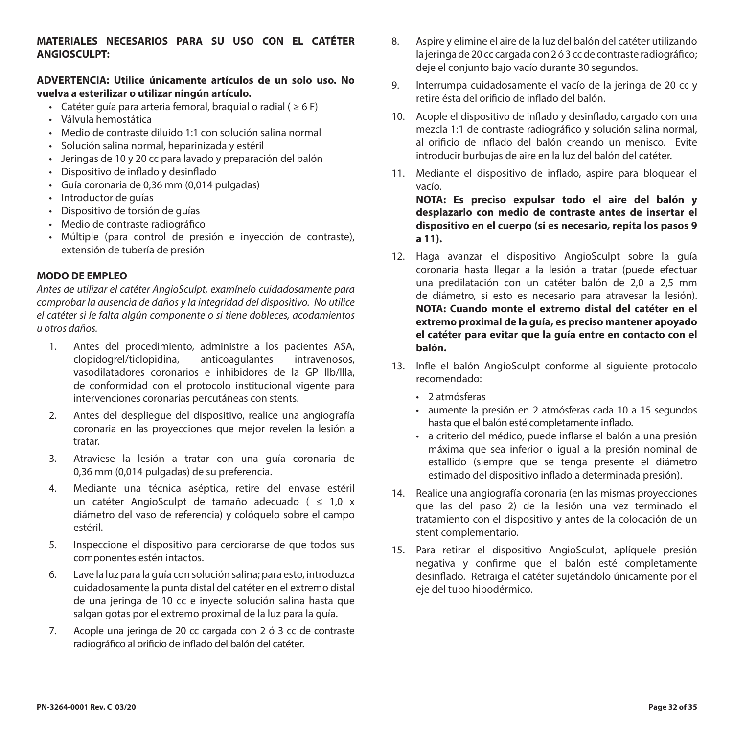#### **ADVERTENCIA: Utilice únicamente artículos de un solo uso. No vuelva a esterilizar o utilizar ningún artículo.**

- Catéter quía para arteria femoral, braquial o radial ( $\geq 6$  F)
- Válvula hemostática
- Medio de contraste diluido 1:1 con solución salina normal
- Solución salina normal, heparinizada y estéril
- Jeringas de 10 y 20 cc para lavado y preparación del balón
- Dispositivo de inflado y desinflado
- Guía coronaria de 0,36 mm (0,014 pulgadas)
- Introductor de guías
- Dispositivo de torsión de guías
- Medio de contraste radiográfico
- Múltiple (para control de presión e inyección de contraste), extensión de tubería de presión

#### **MODO DE EMPLEO**

*Antes de utilizar el catéter AngioSculpt, examínelo cuidadosamente para comprobar la ausencia de daños y la integridad del dispositivo. No utilice el catéter si le falta algún componente o si tiene dobleces, acodamientos u otros daños.*

- 1. Antes del procedimiento, administre a los pacientes ASA, clopidogrel/ticlopidina, anticoagulantes intravenosos, vasodilatadores coronarios e inhibidores de la GP IIb/IIIa, de conformidad con el protocolo institucional vigente para intervenciones coronarias percutáneas con stents.
- 2. Antes del despliegue del dispositivo, realice una angiografía coronaria en las proyecciones que mejor revelen la lesión a tratar.
- 3. Atraviese la lesión a tratar con una guía coronaria de 0,36 mm (0,014 pulgadas) de su preferencia.
- 4. Mediante una técnica aséptica, retire del envase estéril un catéter AngioSculpt de tamaño adecuado (  $\leq 1,0, x$ diámetro del vaso de referencia) y colóquelo sobre el campo estéril.
- 5. Inspeccione el dispositivo para cerciorarse de que todos sus componentes estén intactos.
- 6. Lave la luz para la guía con solución salina; para esto, introduzca cuidadosamente la punta distal del catéter en el extremo distal de una jeringa de 10 cc e inyecte solución salina hasta que salgan gotas por el extremo proximal de la luz para la guía.
- 7. Acople una jeringa de 20 cc cargada con 2 ó 3 cc de contraste radiográfico al orificio de inflado del balón del catéter.
- 8. Aspire y elimine el aire de la luz del balón del catéter utilizando la jeringa de 20 cc cargada con 2 ó 3 cc de contraste radiográfico; deje el conjunto bajo vacío durante 30 segundos.
- 9. Interrumpa cuidadosamente el vacío de la jeringa de 20 cc y retire ésta del orificio de inflado del balón.
- 10. Acople el dispositivo de inflado y desinflado, cargado con una mezcla 1:1 de contraste radiográfico y solución salina normal, al orificio de inflado del balón creando un menisco. Evite introducir burbujas de aire en la luz del balón del catéter.
- 11. Mediante el dispositivo de inflado, aspire para bloquear el vacío.

**NOTA: Es preciso expulsar todo el aire del balón y desplazarlo con medio de contraste antes de insertar el dispositivo en el cuerpo (si es necesario, repita los pasos 9 a 11).**

- 12. Haga avanzar el dispositivo AngioSculpt sobre la guía coronaria hasta llegar a la lesión a tratar (puede efectuar una predilatación con un catéter balón de 2,0 a 2,5 mm de diámetro, si esto es necesario para atravesar la lesión). **NOTA: Cuando monte el extremo distal del catéter en el extremo proximal de la guía, es preciso mantener apoyado el catéter para evitar que la guía entre en contacto con el balón.**
- 13. Infle el balón AngioSculpt conforme al siguiente protocolo recomendado:
	- 2 atmósferas
	- aumente la presión en 2 atmósferas cada 10 a 15 segundos hasta que el balón esté completamente inflado.
	- a criterio del médico, puede inflarse el balón a una presión máxima que sea inferior o igual a la presión nominal de estallido (siempre que se tenga presente el diámetro estimado del dispositivo inflado a determinada presión).
- 14. Realice una angiografía coronaria (en las mismas proyecciones que las del paso 2) de la lesión una vez terminado el tratamiento con el dispositivo y antes de la colocación de un stent complementario.
- 15. Para retirar el dispositivo AngioSculpt, aplíquele presión negativa y confirme que el balón esté completamente desinflado. Retraiga el catéter sujetándolo únicamente por el eje del tubo hipodérmico.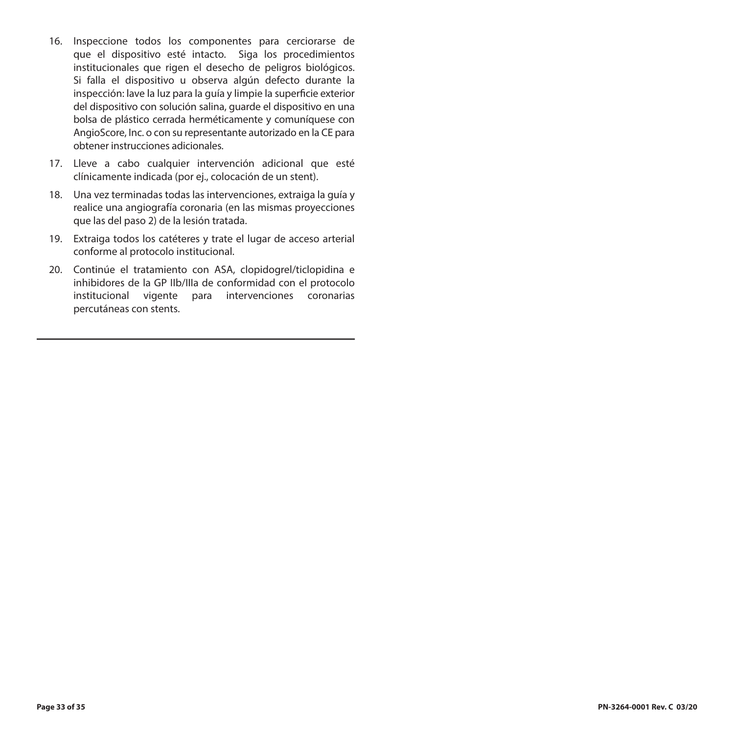- 16. Inspeccione todos los componentes para cerciorarse de que el dispositivo esté intacto. Siga los procedimientos institucionales que rigen el desecho de peligros biológicos. Si falla el dispositivo u observa algún defecto durante la inspección: lave la luz para la guía y limpie la superficie exterior del dispositivo con solución salina, guarde el dispositivo en una bolsa de plástico cerrada herméticamente y comuníquese con AngioScore, Inc. o con su representante autorizado en la CE para obtener instrucciones adicionales.
- 17. Lleve a cabo cualquier intervención adicional que esté clínicamente indicada (por ej., colocación de un stent).
- 18. Una vez terminadas todas las intervenciones, extraiga la guía y realice una angiografía coronaria (en las mismas proyecciones que las del paso 2) de la lesión tratada.
- 19. Extraiga todos los catéteres y trate el lugar de acceso arterial conforme al protocolo institucional.
- 20. Continúe el tratamiento con ASA, clopidogrel/ticlopidina e inhibidores de la GP IIb/IIIa de conformidad con el protocolo institucional vigente para intervenciones coronarias percutáneas con stents.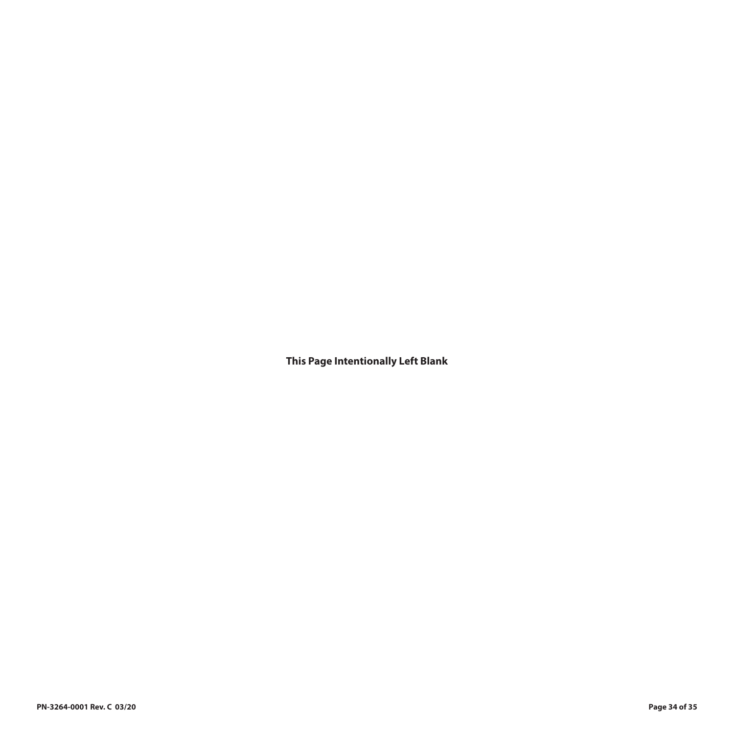**This Page Intentionally Left Blank**